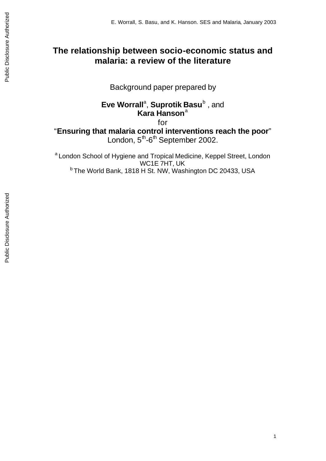# **The relationship between socio-economic status and malaria: a review of the literature**

Background paper prepared by

**Eve Worrall<sup>a</sup>, Suprotik Basu<sup>b</sup>, and Kara Hanson**<sup>a</sup> for

"**Ensuring that malaria control interventions reach the poor**" London, 5<sup>th</sup>-6<sup>th</sup> September 2002.

<sup>a</sup> London School of Hygiene and Tropical Medicine, Keppel Street, London WC1E 7HT, UK <sup>b</sup> The World Bank, 1818 H St. NW, Washington DC 20433, USA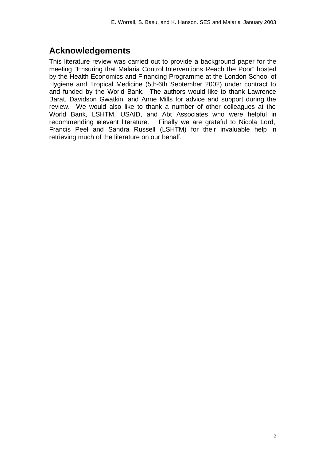# **Acknowledgements**

This literature review was carried out to provide a background paper for the meeting "Ensuring that Malaria Control Interventions Reach the Poor" hosted by the Health Economics and Financing Programme at the London School of Hygiene and Tropical Medicine (5th-6th September 2002) under contract to and funded by the World Bank. The authors would like to thank Lawrence Barat, Davidson Gwatkin, and Anne Mills for advice and support during the review. We would also like to thank a number of other colleagues at the World Bank, LSHTM, USAID, and Abt Associates who were helpful in recommending relevant literature. Finally we are grateful to Nicola Lord, Francis Peel and Sandra Russell (LSHTM) for their invaluable help in retrieving much of the literature on our behalf.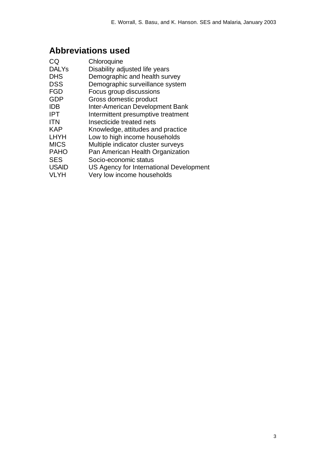# **Abbreviations used**

| CQ           | Chloroquine                             |
|--------------|-----------------------------------------|
| <b>DALYs</b> | Disability adjusted life years          |
| <b>DHS</b>   | Demographic and health survey           |
| DSS          | Demographic surveillance system         |
| <b>FGD</b>   | Focus group discussions                 |
| GDP          | Gross domestic product                  |
| IDB          | Inter-American Development Bank         |
| IPT          | Intermittent presumptive treatment      |
| <b>ITN</b>   | Insecticide treated nets                |
| KAP          | Knowledge, attitudes and practice       |
| LHYH         | Low to high income households           |
| <b>MICS</b>  | Multiple indicator cluster surveys      |
| <b>PAHO</b>  | Pan American Health Organization        |
| SES          | Socio-economic status                   |
| <b>USAID</b> | US Agency for International Development |
| VLYH         | Very low income households              |
|              |                                         |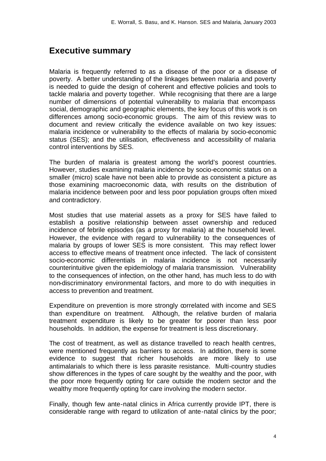## **Executive summary**

Malaria is frequently referred to as a disease of the poor or a disease of poverty. A better understanding of the linkages between malaria and poverty is needed to guide the design of coherent and effective policies and tools to tackle malaria and poverty together. While recognising that there are a large number of dimensions of potential vulnerability to malaria that encompass social, demographic and geographic elements, the key focus of this work is on differences among socio-economic groups. The aim of this review was to document and review critically the evidence available on two key issues: malaria incidence or vulnerability to the effects of malaria by socio-economic status (SES); and the utilisation, effectiveness and accessibility of malaria control interventions by SES.

The burden of malaria is greatest among the world's poorest countries. However, studies examining malaria incidence by socio-economic status on a smaller (micro) scale have not been able to provide as consistent a picture as those examining macroeconomic data, with results on the distribution of malaria incidence between poor and less poor population groups often mixed and contradictory.

Most studies that use material assets as a proxy for SES have failed to establish a positive relationship between asset ownership and reduced incidence of febrile episodes (as a proxy for malaria) at the household level. However, the evidence with regard to vulnerability to the consequences of malaria by groups of lower SES is more consistent. This may reflect lower access to effective means of treatment once infected. The lack of consistent socio-economic differentials in malaria incidence is not necessarily counterintuitive given the epidemiology of malaria transmission. Vulnerability to the consequences of infection, on the other hand, has much less to do with non-discriminatory environmental factors, and more to do with inequities in access to prevention and treatment.

Expenditure on prevention is more strongly correlated with income and SES than expenditure on treatment. Although, the relative burden of malaria treatment expenditure is likely to be greater for poorer than less poor households. In addition, the expense for treatment is less discretionary.

The cost of treatment, as well as distance travelled to reach health centres, were mentioned frequently as barriers to access. In addition, there is some evidence to suggest that richer households are more likely to use antimalarials to which there is less parasite resistance. Multi-country studies show differences in the types of care sought by the wealthy and the poor, with the poor more frequently opting for care outside the modern sector and the wealthy more frequently opting for care involving the modern sector.

Finally, though few ante-natal clinics in Africa currently provide IPT, there is considerable range with regard to utilization of ante-natal clinics by the poor;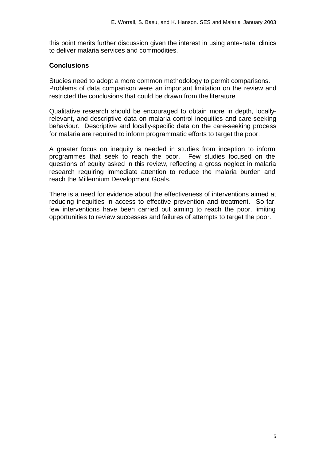this point merits further discussion given the interest in using ante-natal clinics to deliver malaria services and commodities.

## **Conclusions**

Studies need to adopt a more common methodology to permit comparisons. Problems of data comparison were an important limitation on the review and restricted the conclusions that could be drawn from the literature

Qualitative research should be encouraged to obtain more in depth, locallyrelevant, and descriptive data on malaria control inequities and care-seeking behaviour. Descriptive and locally-specific data on the care-seeking process for malaria are required to inform programmatic efforts to target the poor.

A greater focus on inequity is needed in studies from inception to inform programmes that seek to reach the poor. Few studies focused on the questions of equity asked in this review, reflecting a gross neglect in malaria research requiring immediate attention to reduce the malaria burden and reach the Millennium Development Goals.

There is a need for evidence about the effectiveness of interventions aimed at reducing inequities in access to effective prevention and treatment. So far, few interventions have been carried out aiming to reach the poor, limiting opportunities to review successes and failures of attempts to target the poor.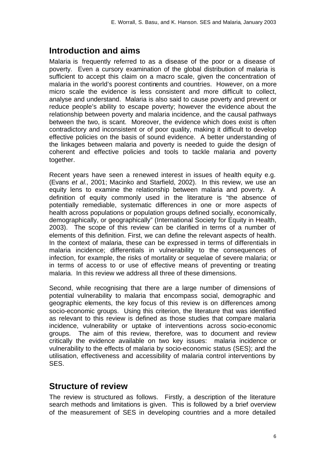# **Introduction and aims**

Malaria is frequently referred to as a disease of the poor or a disease of poverty. Even a cursory examination of the global distribution of malaria is sufficient to accept this claim on a macro scale, given the concentration of malaria in the world's poorest continents and countries. However, on a more micro scale the evidence is less consistent and more difficult to collect, analyse and understand. Malaria is also said to cause poverty and prevent or reduce people's ability to escape poverty; however the evidence about the relationship between poverty and malaria incidence, and the causal pathways between the two, is scant. Moreover, the evidence which does exist is often contradictory and inconsistent or of poor quality, making it difficult to develop effective policies on the basis of sound evidence. A better understanding of the linkages between malaria and poverty is needed to guide the design of coherent and effective policies and tools to tackle malaria and poverty together.

Recent years have seen a renewed interest in issues of health equity e.g. (Evans *et al.*, 2001; Macinko and Starfield, 2002). In this review, we use an equity lens to examine the relationship between malaria and poverty. A definition of equity commonly used in the literature is "the absence of potentially remediable, systematic differences in one or more aspects of health across populations or population groups defined socially, economically, demographically, or geographically" (International Society for Equity in Health, 2003). The scope of this review can be clarified in terms of a number of elements of this definition. First, we can define the relevant aspects of health. In the context of malaria, these can be expressed in terms of differentials in malaria incidence; differentials in vulnerability to the consequences of infection, for example, the risks of mortality or sequelae of severe malaria; or in terms of access to or use of effective means of preventing or treating malaria. In this review we address all three of these dimensions.

Second, while recognising that there are a large number of dimensions of potential vulnerability to malaria that encompass social, demographic and geographic elements, the key focus of this review is on differences among socio-economic groups. Using this criterion, the literature that was identified as relevant to this review is defined as those studies that compare malaria incidence, vulnerability or uptake of interventions across socio-economic groups. The aim of this review, therefore, was to document and review critically the evidence available on two key issues: malaria incidence or vulnerability to the effects of malaria by socio-economic status (SES); and the utilisation, effectiveness and accessibility of malaria control interventions by SES.

## **Structure of review**

The review is structured as follows. Firstly, a description of the literature search methods and limitations is given. This is followed by a brief overview of the measurement of SES in developing countries and a more detailed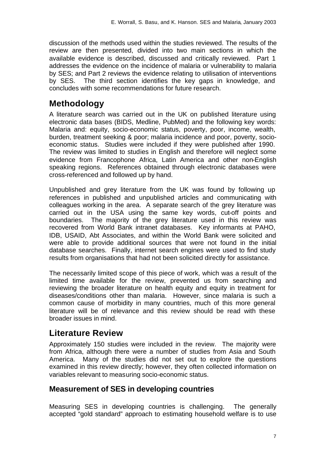discussion of the methods used within the studies reviewed. The results of the review are then presented, divided into two main sections in which the available evidence is described, discussed and critically reviewed. Part 1 addresses the evidence on the incidence of malaria or vulnerability to malaria by SES; and Part 2 reviews the evidence relating to utilisation of interventions by SES. The third section identifies the key gaps in knowledge, and concludes with some recommendations for future research.

# **Methodology**

A literature search was carried out in the UK on published literature using electronic data bases (BIDS, Medline, PubMed) and the following key words: Malaria and: equity, socio-economic status, poverty, poor, income, wealth, burden, treatment seeking & poor; malaria incidence and poor, poverty, socioeconomic status. Studies were included if they were published after 1990. The review was limited to studies in English and therefore will neglect some evidence from Francophone Africa, Latin America and other non-English speaking regions. References obtained through electronic databases were cross-referenced and followed up by hand.

Unpublished and grey literature from the UK was found by following up references in published and unpublished articles and communicating with colleagues working in the area. A separate search of the grey literature was carried out in the USA using the same key words, cut-off points and boundaries. The majority of the grey literature used in this review was recovered from World Bank intranet databases. Key informants at PAHO, IDB, USAID, Abt Associates, and within the World Bank were solicited and were able to provide additional sources that were not found in the initial database searches. Finally, internet search engines were used to find study results from organisations that had not been solicited directly for assistance.

The necessarily limited scope of this piece of work, which was a result of the limited time available for the review, prevented us from searching and reviewing the broader literature on health equity and equity in treatment for diseases/conditions other than malaria. However, since malaria is such a common cause of morbidity in many countries, much of this more general literature will be of relevance and this review should be read with these broader issues in mind.

## **Literature Review**

Approximately 150 studies were included in the review. The majority were from Africa, although there were a number of studies from Asia and South America. Many of the studies did not set out to explore the questions examined in this review directly; however, they often collected information on variables relevant to measuring socio-economic status.

## **Measurement of SES in developing countries**

Measuring SES in developing countries is challenging. The generally accepted "gold standard" approach to estimating household welfare is to use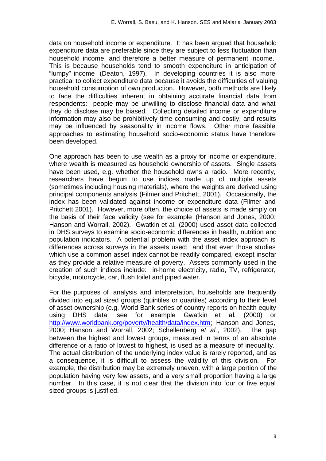data on household income or expenditure. It has been argued that household expenditure data are preferable since they are subject to less fluctuation than household income, and therefore a better measure of permanent income. This is because households tend to smooth expenditure in anticipation of "lumpy" income (Deaton, 1997). In developing countries it is also more practical to collect expenditure data because it avoids the difficulties of valuing household consumption of own production. However, both methods are likely to face the difficulties inherent in obtaining accurate financial data from respondents: people may be unwilling to disclose financial data and what they do disclose may be biased. Collecting detailed income or expenditure information may also be prohibitively time consuming and costly, and results may be influenced by seasonality in income flows. Other more feasible approaches to estimating household socio-economic status have therefore been developed.

One approach has been to use wealth as a proxy for income or expenditure, where wealth is measured as household ownership of assets. Single assets have been used, e.g. whether the household owns a radio. More recently, researchers have begun to use indices made up of multiple assets (sometimes including housing materials), where the weights are derived using principal components analysis (Filmer and Pritchett, 2001). Occasionally, the index has been validated against income or expenditure data (Filmer and Pritchett 2001). However, more often, the choice of assets is made simply on the basis of their face validity (see for example (Hanson and Jones, 2000; Hanson and Worrall, 2002). Gwatkin et al. (2000) used asset data collected in DHS surveys to examine socio-economic differences in health, nutrition and population indicators. A potential problem with the asset index approach is differences across surveys in the assets used; and that even those studies which use a common asset index cannot be readily compared, except insofar as they provide a relative measure of poverty. Assets commonly used in the creation of such indices include: in-home electricity, radio, TV, refrigerator, bicycle, motorcycle, car, flush toilet and piped water.

For the purposes of analysis and interpretation, households are frequently divided into equal sized groups (quintiles or quartiles) according to their level of asset ownership (e.g. World Bank series of country reports on health equity using DHS data: see for example Gwatkin et al. (2000) or http://www.worldbank.org/poverty/health/data/index.htm; Hanson and Jones, 2000; Hanson and Worrall, 2002; Schellenberg *et al.*, 2002). The gap between the highest and lowest groups, measured in terms of an absolute difference or a ratio of lowest to highest, is used as a measure of inequality. The actual distribution of the underlying index value is rarely reported, and as a consequence, it is difficult to assess the validity of this division. For example, the distribution may be extremely uneven, with a large portion of the population having very few assets, and a very small proportion having a large number. In this case, it is not clear that the division into four or five equal sized groups is justified.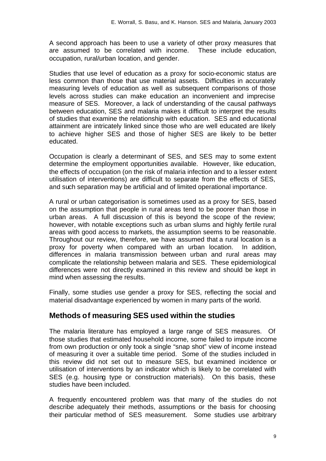A second approach has been to use a variety of other proxy measures that are assumed to be correlated with income. These include education, occupation, rural/urban location, and gender.

Studies that use level of education as a proxy for socio-economic status are less common than those that use material assets. Difficulties in accurately measuring levels of education as well as subsequent comparisons of those levels across studies can make education an inconvenient and imprecise measure of SES. Moreover, a lack of understanding of the causal pathways between education, SES and malaria makes it difficult to interpret the results of studies that examine the relationship with education. SES and educational attainment are intricately linked since those who are well educated are likely to achieve higher SES and those of higher SES are likely to be better educated.

Occupation is clearly a determinant of SES, and SES may to some extent determine the employment opportunities available. However, like education, the effects of occupation (on the risk of malaria infection and to a lesser extent utilisation of interventions) are difficult to separate from the effects of SES, and such separation may be artificial and of limited operational importance.

A rural or urban categorisation is sometimes used as a proxy for SES, based on the assumption that people in rural areas tend to be poorer than those in urban areas. A full discussion of this is beyond the scope of the review; however, with notable exceptions such as urban slums and highly fertile rural areas with good access to markets, the assumption seems to be reasonable. Throughout our review, therefore, we have assumed that a rural location is a proxy for poverty when compared with an urban location. In addition, differences in malaria transmission between urban and rural areas may complicate the relationship between malaria and SES. These epidemiological differences were not directly examined in this review and should be kept in mind when assessing the results.

Finally, some studies use gender a proxy for SES, reflecting the social and material disadvantage experienced by women in many parts of the world.

## **Methods of measuring SES used within the studies**

The malaria literature has employed a large range of SES measures. Of those studies that estimated household income, some failed to impute income from own production or only took a single "snap shot" view of income instead of measuring it over a suitable time period. Some of the studies included in this review did not set out to measure SES, but examined incidence or utilisation of interventions by an indicator which is likely to be correlated with SES (e.g. housing type or construction materials). On this basis, these studies have been included.

A frequently encountered problem was that many of the studies do not describe adequately their methods, assumptions or the basis for choosing their particular method of SES measurement. Some studies use arbitrary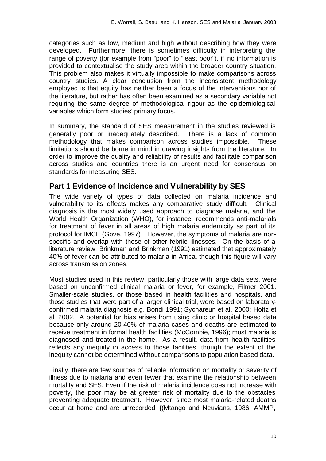categories such as low, medium and high without describing how they were developed. Furthermore, there is sometimes difficulty in interpreting the range of poverty (for example from "poor" to "least poor"), if no information is provided to contextualise the study area within the broader country situation. This problem also makes it virtually impossible to make comparisons across country studies. A clear conclusion from the inconsistent methodology employed is that equity has neither been a focus of the interventions nor of the literature, but rather has often been examined as a secondary variable not requiring the same degree of methodological rigour as the epidemiological variables which form studies' primary focus.

In summary, the standard of SES measurement in the studies reviewed is generally poor or inadequately described. There is a lack of common methodology that makes comparison across studies impossible. These limitations should be borne in mind in drawing insights from the literature. In order to improve the quality and reliability of results and facilitate comparison across studies and countries there is an urgent need for consensus on standards for measuring SES.

## **Part 1 Evidence of Incidence and Vulnerability by SES**

The wide variety of types of data collected on malaria incidence and vulnerability to its effects makes any comparative study difficult. Clinical diagnosis is the most widely used approach to diagnose malaria, and the World Health Organization (WHO), for instance, recommends anti-malarials for treatment of fever in all areas of high malaria endemicity as part of its protocol for IMCI (Gove, 1997). However, the symptoms of malaria are nonspecific and overlap with those of other febrile illnesses. On the basis of a literature review, Brinkman and Brinkman (1991) estimated that approximately 40% of fever can be attributed to malaria in Africa, though this figure will vary across transmission zones.

Most studies used in this review, particularly those with large data sets, were based on unconfirmed clinical malaria or fever, for example, Filmer 2001. Smaller-scale studies, or those based in health facilities and hospitals, and those studies that were part of a larger clinical trial, were based on laboratoryconfirmed malaria diagnosis e.g. Bondi 1991; Sychareun et al. 2000; Holtz et al. 2002. A potential for bias arises from using clinic or hospital based data because only around 20-40% of malaria cases and deaths are estimated to receive treatment in formal health facilities (McCombie, 1996); most malaria is diagnosed and treated in the home. As a result, data from health facilities reflects any inequity in access to those facilities, though the extent of the inequity cannot be determined without comparisons to population based data.

Finally, there are few sources of reliable information on mortality or severity of illness due to malaria and even fewer that examine the relationship between mortality and SES. Even if the risk of malaria incidence does not increase with poverty, the poor may be at greater risk of mortality due to the obstacles preventing adequate treatment. However, since most malaria-related deaths occur at home and are unrecorded {(Mtango and Neuvians, 1986; AMMP,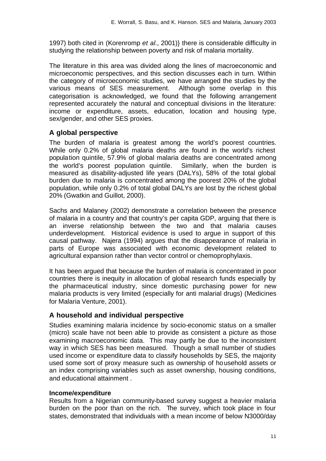1997) both cited in (Korenromp *et al.*, 2001)} there is considerable difficulty in studying the relationship between poverty and risk of malaria mortality.

The literature in this area was divided along the lines of macroeconomic and microeconomic perspectives, and this section discusses each in turn. Within the category of microeconomic studies, we have arranged the studies by the various means of SES measurement. Although some overlap in this categorisation is acknowledged, we found that the following arrangement represented accurately the natural and conceptual divisions in the literature: income or expenditure, assets, education, location and housing type, sex/gender, and other SES proxies.

## **A global perspective**

The burden of malaria is greatest among the world's poorest countries. While only 0.2% of global malaria deaths are found in the world's richest population quintile, 57.9% of global malaria deaths are concentrated among the world's poorest population quintile. Similarly, when the burden is measured as disability-adjusted life years (DALYs), 58% of the total global burden due to malaria is concentrated among the poorest 20% of the global population, while only 0.2% of total global DALYs are lost by the richest global 20% (Gwatkin and Guillot, 2000).

Sachs and Malaney (2002) demonstrate a correlation between the presence of malaria in a country and that country's per capita GDP, arguing that there is an inverse relationship between the two and that malaria causes underdevelopment. Historical evidence is used to argue in support of this causal pathway. Najera (1994) argues that the disappearance of malaria in parts of Europe was associated with economic development related to agricultural expansion rather than vector control or chemoprophylaxis.

It has been argued that because the burden of malaria is concentrated in poor countries there is inequity in allocation of global research funds especially by the pharmaceutical industry, since domestic purchasing power for new malaria products is very limited (especially for anti malarial drugs) (Medicines for Malaria Venture, 2001).

## **A household and individual perspective**

Studies examining malaria incidence by socio-economic status on a smaller (micro) scale have not been able to provide as consistent a picture as those examining macroeconomic data. This may partly be due to the inconsistent way in which SES has been measured. Though a small number of studies used income or expenditure data to classify households by SES, the majority used some sort of proxy measure such as ownership of household assets or an index comprising variables such as asset ownership, housing conditions, and educational attainment .

### **Income/expenditure**

Results from a Nigerian community-based survey suggest a heavier malaria burden on the poor than on the rich. The survey, which took place in four states, demonstrated that individuals with a mean income of below N3000/day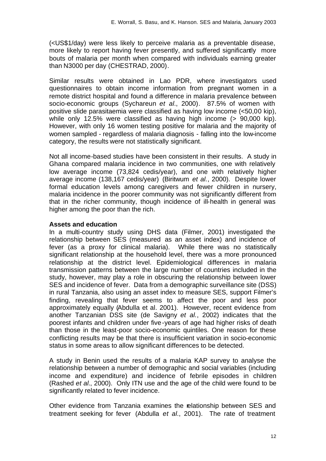(<US\$1/day) were less likely to perceive malaria as a preventable disease, more likely to report having fever presently, and suffered significantly more bouts of malaria per month when compared with individuals earning greater than N3000 per day (CHESTRAD, 2000).

Similar results were obtained in Lao PDR, where investigators used questionnaires to obtain income information from pregnant women in a remote district hospital and found a difference in malaria prevalence between socio-economic groups (Sychareun *et al.*, 2000). 87.5% of women with positive slide parasitaemia were classified as having low income (<50,00 kip), while only 12.5% were classified as having high income (> 90,000 kip). However, with only 16 women testing positive for malaria and the majority of women sampled - regardless of malaria diagnosis - falling into the low-income category, the results were not statistically significant.

Not all income-based studies have been consistent in their results. A study in Ghana compared malaria incidence in two communities, one with relatively low average income (73,824 cedis/year), and one with relatively higher average income (138,167 cedis/year) (Biritwum *et al.*, 2000). Despite lower formal education levels among caregivers and fewer children in nursery, malaria incidence in the poorer community was not significantly different from that in the richer community, though incidence of ill-health in general was higher among the poor than the rich.

### **Assets and education**

In a multi-country study using DHS data (Filmer, 2001) investigated the relationship between SES (measured as an asset index) and incidence of fever (as a proxy for clinical malaria). While there was no statistically significant relationship at the household level, there was a more pronounced relationship at the district level. Epidemiological differences in malaria transmission patterns between the large number of countries included in the study, however, may play a role in obscuring the relationship between lower SES and incidence of fever. Data from a demographic surveillance site (DSS) in rural Tanzania, also using an asset index to measure SES, support Filmer's finding, revealing that fever seems to affect the poor and less poor approximately equally (Abdulla et al. 2001). However, recent evidence from another Tanzanian DSS site (de Savigny *et al.*, 2002) indicates that the poorest infants and children under five-years of age had higher risks of death than those in the least-poor socio-economic quintiles. One reason for these conflicting results may be that there is insufficient variation in socio-economic status in some areas to allow significant differences to be detected.

A study in Benin used the results of a malaria KAP survey to analyse the relationship between a number of demographic and social variables (including income and expenditure) and incidence of febrile episodes in children (Rashed *et al.*, 2000). Only ITN use and the age of the child were found to be significantly related to fever incidence.

Other evidence from Tanzania examines the relationship between SES and treatment seeking for fever (Abdulla *et al.*, 2001). The rate of treatment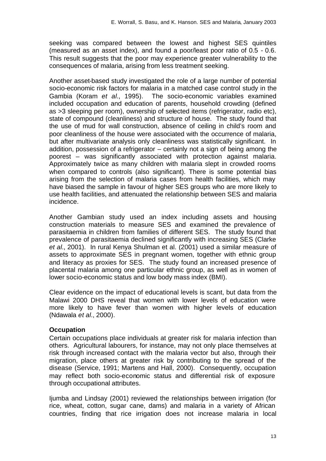seeking was compared between the lowest and highest SES quintiles (measured as an asset index), and found a poor/least poor ratio of 0.5 - 0.6. This result suggests that the poor may experience greater vulnerability to the consequences of malaria, arising from less treatment seeking.

Another asset-based study investigated the role of a large number of potential socio-economic risk factors for malaria in a matched case control study in the Gambia (Koram *et al.*, 1995). The socio-economic variables examined included occupation and education of parents, household crowding (defined as >3 sleeping per room), ownership of selected items (refrigerator, radio etc), state of compound (cleanliness) and structure of house. The study found that the use of mud for wall construction, absence of ceiling in child's room and poor cleanliness of the house were associated with the occurrence of malaria, but after multivariate analysis only cleanliness was statistically significant. In addition, possession of a refrigerator – certainly not a sign of being among the poorest – was significantly associated with protection against malaria. Approximately twice as many children with malaria slept in crowded rooms when compared to controls (also significant). There is some potential bias arising from the selection of malaria cases from health facilities, which may have biased the sample in favour of higher SES groups who are more likely to use health facilities, and attenuated the relationship between SES and malaria incidence.

Another Gambian study used an index including assets and housing construction materials to measure SES and examined the prevalence of parasitaemia in children from families of different SES. The study found that prevalence of parasitaemia declined significantly with increasing SES (Clarke *et al.*, 2001). In rural Kenya Shulman et al. (2001) used a similar measure of assets to approximate SES in pregnant women, together with ethnic group and literacy as proxies for SES. The study found an increased presence of placental malaria among one particular ethnic group, as well as in women of lower socio-economic status and low body mass index (BMI).

Clear evidence on the impact of educational levels is scant, but data from the Malawi 2000 DHS reveal that women with lower levels of education were more likely to have fever than women with higher levels of education (Ndawala *et al.*, 2000).

### **Occupation**

Certain occupations place individuals at greater risk for malaria infection than others. Agricultural labourers, for instance, may not only place themselves at risk through increased contact with the malaria vector but also, through their migration, place others at greater risk by contributing to the spread of the disease (Service, 1991; Martens and Hall, 2000). Consequently, occupation may reflect both socio-economic status and differential risk of exposure through occupational attributes.

Ijumba and Lindsay (2001) reviewed the relationships between irrigation (for rice, wheat, cotton, sugar cane, dams) and malaria in a variety of African countries, finding that rice irrigation does not increase malaria in local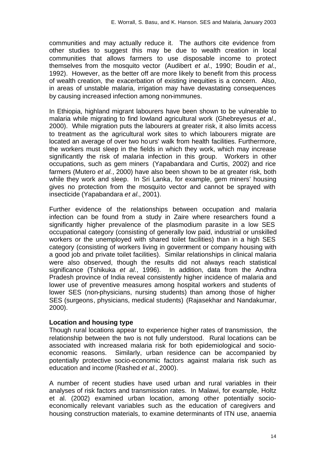communities and may actually reduce it. The authors cite evidence from other studies to suggest this may be due to wealth creation in local communities that allows farmers to use disposable income to protect themselves from the mosquito vector (Audibert *et al.*, 1990; Boudin *et al.*, 1992). However, as the better off are more likely to benefit from this process of wealth creation, the exacerbation of existing inequities is a concern. Also, in areas of unstable malaria, irrigation may have devastating consequences by causing increased infection among non-immunes.

In Ethiopia, highland migrant labourers have been shown to be vulnerable to malaria while migrating to find lowland agricultural work (Ghebreyesus *et al.*, 2000). While migration puts the labourers at greater risk, it also limits access to treatment as the agricultural work sites to which labourers migrate are located an average of over two hours' walk from health facilities. Furthermore, the workers must sleep in the fields in which they work, which may increase significantly the risk of malaria infection in this group. Workers in other occupations, such as gem miners (Yapabandara and Curtis, 2002) and rice farmers (Mutero *et al.*, 2000) have also been shown to be at greater risk, both while they work and sleep. In Sri Lanka, for example, gem miners' housing gives no protection from the mosquito vector and cannot be sprayed with insecticide (Yapabandara *et al.*, 2001).

Further evidence of the relationships between occupation and malaria infection can be found from a study in Zaire where researchers found a significantly higher prevalence of the plasmodium parasite in a low SES occupational category (consisting of generally low paid, industrial or unskilled workers or the unemployed with shared toilet facilities) than in a high SES category (consisting of workers living in government or company housing with a good job and private toilet facilities). Similar relationships in clinical malaria were also observed, though the results did not always reach statistical significance (Tshikuka *et al.*, 1996). In addition, data from the Andhra Pradesh province of India reveal consistently higher incidence of malaria and lower use of preventive measures among hospital workers and students of lower SES (non-physicians, nursing students) than among those of higher SES (surgeons, physicians, medical students) (Rajasekhar and Nandakumar, 2000).

### **Location and housing type**

Though rural locations appear to experience higher rates of transmission, the relationship between the two is not fully understood. Rural locations can be associated with increased malaria risk for both epidemiological and socioeconomic reasons. Similarly, urban residence can be accompanied by potentially protective socio-economic factors against malaria risk such as education and income (Rashed *et al.*, 2000).

A number of recent studies have used urban and rural variables in their analyses of risk factors and transmission rates. In Malawi, for example, Holtz et al. (2002) examined urban location, among other potentially socioeconomically relevant variables such as the education of caregivers and housing construction materials, to examine determinants of ITN use, anaemia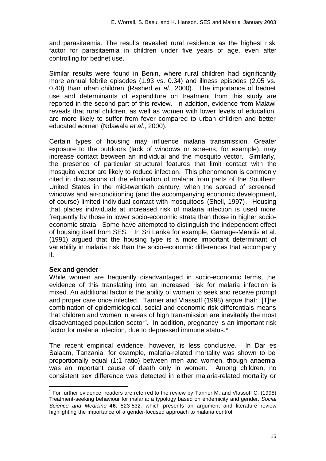and parasitaemia. The results revealed rural residence as the highest risk factor for parasitaemia in children under five years of age, even after controlling for bednet use.

Similar results were found in Benin, where rural children had significantly more annual febrile episodes (1.93 vs. 0.34) and illness episodes (2.05 vs. 0.40) than urban children (Rashed *et al.*, 2000). The importance of bednet use and determinants of expenditure on treatment from this study are reported in the second part of this review. In addition, evidence from Malawi reveals that rural children, as well as women with lower levels of education, are more likely to suffer from fever compared to urban children and better educated women (Ndawala *et al.*, 2000).

Certain types of housing may influence malaria transmission. Greater exposure to the outdoors (lack of windows or screens, for example), may increase contact between an individual and the mosquito vector. Similarly, the presence of particular structural features that limit contact with the mosquito vector are likely to reduce infection. This phenomenon is commonly cited in discussions of the elimination of malaria from parts of the Southern United States in the mid-twentieth century, when the spread of screened windows and air-conditioning (and the accompanying economic development, of course) limited individual contact with mosquitoes (Shell, 1997). Housing that places individuals at increased risk of malaria infection is used more frequently by those in lower socio-economic strata than those in higher socioeconomic strata. Some have attempted to distinguish the independent effect of housing itself from SES. In Sri Lanka for example, Gamage-Mendis et al. (1991) argued that the housing type is a more important determinant of variability in malaria risk than the socio-economic differences that accompany it.

### **Sex and gender**

l

While women are frequently disadvantaged in socio-economic terms, the evidence of this translating into an increased risk for malaria infection is mixed. An additional factor is the ability of women to seek and receive prompt and proper care once infected. Tanner and Vlassoff (1998) argue that: "[T]he combination of epidemiological, social and economic risk differentials means that children and women in areas of high transmission are inevitably the most disadvantaged population sector". In addition, pregnancy is an important risk factor for malaria infection, due to depressed immune status.\*

The recent empirical evidence, however, is less conclusive. In Dar es Salaam, Tanzania, for example, malaria-related mortality was shown to be proportionally equal (1:1 ratio) between men and women, though anaemia was an important cause of death only in women. Among children, no consistent sex difference was detected in either malaria-related mortality or

<sup>\*</sup> For further evidence, readers are referred to the review by Tanner M. and Vlassoff C. (1998) Treatment-seeking behaviour for malaria: a typology based on endemicity and gender. *Social Science and Medicine* **46**: 523-532. which presents an argument and literature review highlighting the importance of a gender-focused approach to malaria control.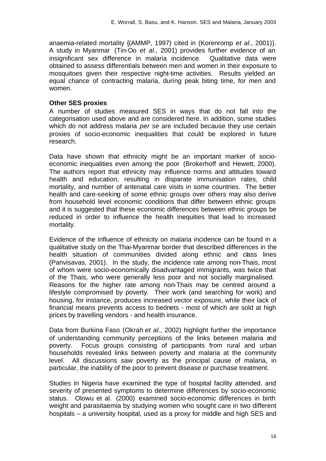anaemia-related mortality {(AMMP, 1997) cited in (Korenromp *et al.*, 2001)}. A study in Myanmar (Tin-Oo *et al.*, 2001) provides further evidence of an insignificant sex difference in malaria incidence. Qualitative data were obtained to assess differentials between men and women in their exposure to mosquitoes given their respective night-time activities. Results yielded an equal chance of contracting malaria, during peak biting time, for men and women.

#### **Other SES proxies**

A number of studies measured SES in ways that do not fall into the categorisation used above and are considered here. In addition, some studies which do not address malaria *per se* are included because they use certain proxies of socio-economic inequalities that could be explored in future research.

Data have shown that ethnicity might be an important marker of socioeconomic inequalities even among the poor (Brokerhoff and Hewett, 2000). The authors report that ethnicity may influence norms and attitudes toward health and education, resulting in disparate immunisation rates, child mortality, and number of antenatal care visits in some countries. The better health and care-seeking of some ethnic groups over others may also derive from household level economic conditions that differ between ethnic groups and it is suggested that these economic differences between ethnic groups be reduced in order to influence the health inequities that lead to increased mortality.

Evidence of the influence of ethnicity on malaria incidence can be found in a qualitative study on the Thai-Myanmar border that described differences in the health situation of communities divided along ethnic and class lines (Panvisavas, 2001). In the study, the incidence rate among non-Thais, most of whom were socio-economically disadvantaged immigrants, was twice that of the Thais, who were generally less poor and not socially marginalised. Reasons for the higher rate among non-Thais may be centred around a lifestyle compromised by poverty. Their work (and searching for work) and housing, for instance, produces increased vector exposure, while their lack of financial means prevents access to bednets - most of which are sold at high prices by travelling vendors - and health insurance.

Data from Burkina Faso (Okrah *et al.*, 2002) highlight further the importance of understanding community perceptions of the links between malaria and poverty. Focus groups consisting of participants from rural and urban households revealed links between poverty and malaria at the community level. All discussions saw poverty as the principal cause of malaria, in particular, the inability of the poor to prevent disease or purchase treatment.

Studies in Nigeria have examined the type of hospital facility attended, and severity of presented symptoms to determine differences by socio-economic status. Olowu et al. (2000) examined socio-economic differences in birth weight and parasitaemia by studying women who sought care in two different hospitals – a university hospital, used as a proxy for middle and high SES and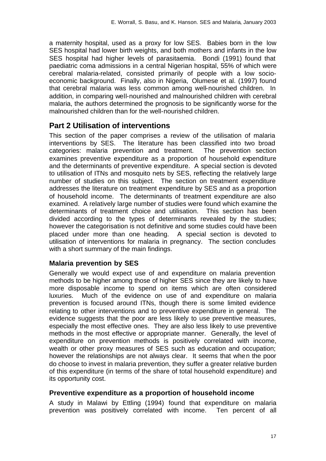a maternity hospital, used as a proxy for low SES. Babies born in the low SES hospital had lower birth weights, and both mothers and infants in the low SES hospital had higher levels of parasitaemia. Bondi (1991) found that paediatric coma admissions in a central Nigerian hospital, 55% of which were cerebral malaria-related, consisted primarily of people with a low socioeconomic background. Finally, also in Nigeria, Olumese et al. (1997) found that cerebral malaria was less common among well-nourished children. In addition, in comparing well-nourished and malnourished children with cerebral malaria, the authors determined the prognosis to be significantly worse for the malnourished children than for the well-nourished children.

## **Part 2 Utilisation of interventions**

This section of the paper comprises a review of the utilisation of malaria interventions by SES. The literature has been classified into two broad categories: malaria prevention and treatment. The prevention section examines preventive expenditure as a proportion of household expenditure and the determinants of preventive expenditure. A special section is devoted to utilisation of ITNs and mosquito nets by SES, reflecting the relatively large number of studies on this subject. The section on treatment expenditure addresses the literature on treatment expenditure by SES and as a proportion of household income. The determinants of treatment expenditure are also examined. A relatively large number of studies were found which examine the determinants of treatment choice and utilisation. This section has been divided according to the types of determinants revealed by the studies; however the categorisation is not definitive and some studies could have been placed under more than one heading. A special section is devoted to utilisation of interventions for malaria in pregnancy. The section concludes with a short summary of the main findings.

## **Malaria prevention by SES**

Generally we would expect use of and expenditure on malaria prevention methods to be higher among those of higher SES since they are likely to have more disposable income to spend on items which are often considered luxuries. Much of the evidence on use of and expenditure on malaria prevention is focused around ITNs, though there is some limited evidence relating to other interventions and to preventive expenditure in general. The evidence suggests that the poor are less likely to use preventive measures, especially the most effective ones. They are also less likely to use preventive methods in the most effective or appropriate manner. Generally, the level of expenditure on prevention methods is positively correlated with income, wealth or other proxy measures of SES such as education and occupation; however the relationships are not always clear. It seems that when the poor do choose to invest in malaria prevention, they suffer a greater relative burden of this expenditure (in terms of the share of total household expenditure) and its opportunity cost.

## **Preventive expenditure as a proportion of household income**

A study in Malawi by Ettling (1994) found that expenditure on malaria prevention was positively correlated with income. Ten percent of all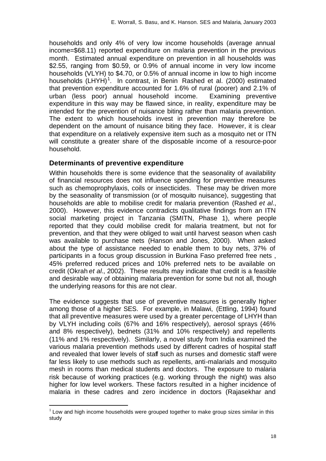households and only 4% of very low income households (average annual income=\$68.11) reported expenditure on malaria prevention in the previous month. Estimated annual expenditure on prevention in all households was \$2.55, ranging from \$0.59, or 0.9% of annual income in very low income households (VLYH) to \$4.70, or 0.5% of annual income in low to high income households (LHYH)<sup>1</sup>. In contrast, in Benin Rashed et al. (2000) estimated that prevention expenditure accounted for 1.6% of rural (poorer) and 2.1% of urban (less poor) annual household income. Examining preventive expenditure in this way may be flawed since, in reality, expenditure may be intended for the prevention of nuisance biting rather than malaria prevention. The extent to which households invest in prevention may therefore be dependent on the amount of nuisance biting they face. However, it is clear that expenditure on a relatively expensive item such as a mosquito net or ITN will constitute a greater share of the disposable income of a resource-poor household.

## **Determinants of preventive expenditure**

Within households there is some evidence that the seasonality of availability of financial resources does not influence spending for preventive measures such as chemoprophylaxis, coils or insecticides. These may be driven more by the seasonality of transmission (or of mosquito nuisance), suggesting that households are able to mobilise credit for malaria prevention (Rashed *et al.*, 2000). However, this evidence contradicts qualitative findings from an ITN social marketing project in Tanzania (SMITN, Phase 1), where people reported that they could mobilise credit for malaria treatment, but not for prevention, and that they were obliged to wait until harvest season when cash was available to purchase nets (Hanson and Jones, 2000). When asked about the type of assistance needed to enable them to buy nets, 37% of participants in a focus group discussion in Burkina Faso preferred free nets , 45% preferred reduced prices and 10% preferred nets to be available on credit (Okrah *et al.*, 2002). These results may indicate that credit is a feasible and desirable way of obtaining malaria prevention for some but not all, though the underlying reasons for this are not clear.

The evidence suggests that use of preventive measures is generally higher among those of a higher SES. For example, in Malawi, (Ettling, 1994) found that all preventive measures were used by a greater percentage of LHYH than by VLYH including coils (67% and 16% respectively), aerosol sprays (46% and 8% respectively), bednets (31% and 10% respectively) and repellents (11% and 1% respectively). Similarly, a novel study from India examined the various malaria prevention methods used by different cadres of hospital staff and revealed that lower levels of staff such as nurses and domestic staff were far less likely to use methods such as repellents, anti-malarials and mosquito mesh in rooms than medical students and doctors. The exposure to malaria risk because of working practices (e.g. working through the night) was also higher for low level workers. These factors resulted in a higher incidence of malaria in these cadres and zero incidence in doctors (Rajasekhar and

l

 $1$  Low and high income households were grouped together to make group sizes similar in this study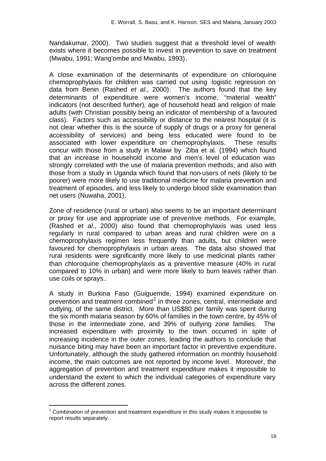Nandakumar, 2000). Two studies suggest that a threshold level of wealth exists where it becomes possible to invest in prevention to save on treatment (Mwabu, 1991; Wang'ombe and Mwabu, 1993).

A close examination of the determinants of expenditure on chloroquine chemoprophylaxis for children was carried out using logistic regression on data from Benin (Rashed *et al.*, 2000). The authors found that the key determinants of expenditure were women's income, "material wealth" indicators (not described further), age of household head and religion of male adults (with Christian possibly being an indicator of membership of a favoured class). Factors such as accessibility or distance to the nearest hospital (it is not clear whether this is the source of supply of drugs or a proxy for general accessibility of services) and being less educated were found to be associated with lower expenditure on chemoprophylaxis. These results concur with those from a study in Malawi by Ziba et al. (1994) which found that an increase in household income and men's level of education was strongly correlated with the use of malaria prevention methods; and also with those from a study in Uganda which found that non-users of nets (likely to be poorer) were more likely to use traditional medicine for malaria prevention and treatment of episodes, and less likely to undergo blood slide examination than net users (Nuwaha, 2001).

Zone of residence (rural or urban) also seems to be an important determinant or proxy for use and appropriate use of preventive methods. For example, (Rashed *et al.*, 2000) also found that chemoprophylaxis was used less regularly in rural compared to urban areas and rural children were on a chemoprophylaxis regimen less frequently than adults, but children were favoured for chemoprophylaxis in urban areas. The data also showed that rural residents were significantly more likely to use medicinal plants rather than chloroquine chemoprophylaxis as a preventive measure (40% in rural compared to 10% in urban) and were more likely to burn leaves rather than use coils or sprays..

A study in Burkina Faso (Guiguemde, 1994) examined expenditure on prevention and treatment combined<sup>2</sup> in three zones, central, intermediate and outlying, of the same district. More than US\$80 per family was spent during the six month malaria season by 60% of families in the town centre, by 45% of those in the intermediate zone, and 39% of outlying zone families. The increased expenditure with proximity to the town occurred in spite of increasing incidence in the outer zones, leading the authors to conclude that nuisance biting may have been an important factor in preventive expenditure. Unfortunately, although the study gathered information on monthly household income, the main outcomes are not reported by income level. Moreover, the aggregation of prevention and treatment expenditure makes it impossible to understand the extent to which the individual categories of expenditure vary across the different zones.

l

 $2$  Combination of prevention and treatment expenditure in this study makes it impossible to report results separately.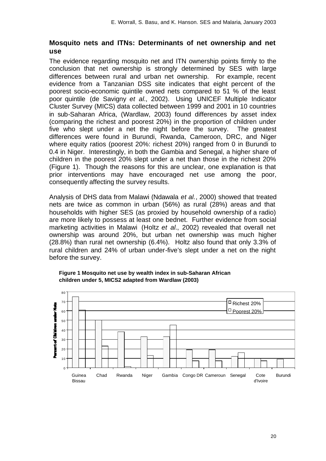## **Mosquito nets and ITNs: Determinants of net ownership and net use**

The evidence regarding mosquito net and ITN ownership points firmly to the conclusion that net ownership is strongly determined by SES with large differences between rural and urban net ownership. For example, recent evidence from a Tanzanian DSS site indicates that eight percent of the poorest socio-economic quintile owned nets compared to 51 % of the least poor quintile (de Savigny *et al.*, 2002). Using UNICEF Multiple Indicator Cluster Survey (MICS) data collected between 1999 and 2001 in 10 countries in sub-Saharan Africa, (Wardlaw, 2003) found differences by asset index (comparing the richest and poorest 20%) in the proportion of children under five who slept under a net the night before the survey. The greatest differences were found in Burundi, Rwanda, Cameroon, DRC, and Niger where equity ratios (poorest 20%: richest 20%) ranged from 0 in Burundi to 0.4 in Niger. Interestingly, in both the Gambia and Senegal, a higher share of children in the poorest 20% slept under a net than those in the richest 20% (Figure 1). Though the reasons for this are unclear, one explanation is that prior interventions may have encouraged net use among the poor, consequently affecting the survey results.

Analysis of DHS data from Malawi (Ndawala *et al.*, 2000) showed that treated nets are twice as common in urban (56%) as rural (28%) areas and that households with higher SES (as proxied by household ownership of a radio) are more likely to possess at least one bednet. Further evidence from social marketing activities in Malawi (Holtz *et al.*, 2002) revealed that overall net ownership was around 20%, but urban net ownership was much higher (28.8%) than rural net ownership (6.4%). Holtz also found that only 3.3% of rural children and 24% of urban under-five's slept under a net on the night before the survey.



**Figure 1 Mosquito net use by wealth index in sub-Saharan African children under 5, MICS2 adapted from Wardlaw (2003)**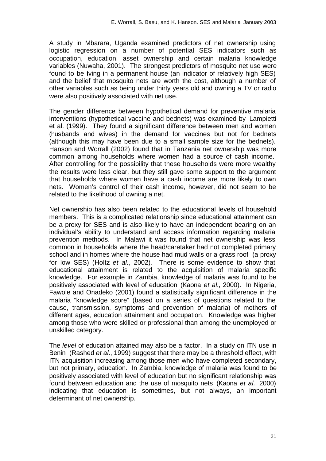A study in Mbarara, Uganda examined predictors of net ownership using logistic regression on a number of potential SES indicators such as occupation, education, asset ownership and certain malaria knowledge variables (Nuwaha, 2001). The strongest predictors of mosquito net use were found to be Iving in a permanent house (an indicator of relatively high SES) and the belief that mosquito nets are worth the cost, although a number of other variables such as being under thirty years old and owning a TV or radio were also positively associated with net use.

The gender difference between hypothetical demand for preventive malaria interventions (hypothetical vaccine and bednets) was examined by Lampietti et al. (1999). They found a significant difference between men and women (husbands and wives) in the demand for vaccines but not for bednets (although this may have been due to a small sample size for the bednets). Hanson and Worrall (2002) found that in Tanzania net ownership was more common among households where women had a source of cash income. After controlling for the possibility that these households were more wealthy the results were less clear, but they still gave some support to the argument that households where women have a cash income are more likely to own nets. Women's control of their cash income, however, did not seem to be related to the likelihood of owning a net.

Net ownership has also been related to the educational levels of household members. This is a complicated relationship since educational attainment can be a proxy for SES and is also likely to have an independent bearing on an individual's ability to understand and access information regarding malaria prevention methods. In Malawi it was found that net ownership was less common in households where the head/caretaker had not completed primary school and in homes where the house had mud walls or a grass roof (a proxy for low SES) (Holtz *et al.*, 2002). There is some evidence to show that educational attainment is related to the acquisition of malaria specific knowledge. For example in Zambia, knowledge of malaria was found to be positively associated with level of education (Kaona *et al.*, 2000). In Nigeria, Fawole and Onadeko (2001) found a statistically significant difference in the malaria "knowledge score" (based on a series of questions related to the cause, transmission, symptoms and prevention of malaria) of mothers of different ages, education attainment and occupation. Knowledge was higher among those who were skilled or professional than among the unemployed or unskilled category.

The *level* of education attained may also be a factor. In a study on ITN use in Benin (Rashed *et al.*, 1999) suggest that there may be a threshold effect, with ITN acquisition increasing among those men who have completed secondary, but not primary, education. In Zambia, knowledge of malaria was found to be positively associated with level of education but no significant relationship was found between education and the use of mosquito nets (Kaona *et al.*, 2000) indicating that education is sometimes, but not always, an important determinant of net ownership.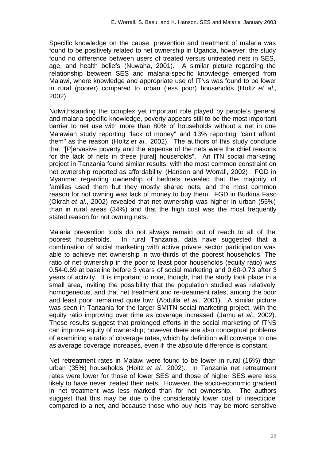Specific knowledge on the cause, prevention and treatment of malaria was found to be positively related to net ownership in Uganda, however, the study found no difference between users of treated versus untreated nets in SES, age, and health beliefs (Nuwaha, 2001). A similar picture regarding the relationship between SES and malaria-specific knowledge emerged from Malawi, where knowledge and appropriate use of ITNs was found to be lower in rural (poorer) compared to urban (less poor) households (Holtz *et al.*, 2002).

Notwithstanding the complex yet important role played by people's general and malaria-specific knowledge, poverty appears still to be the most important barrier to net use with more than 80% of households without a net in one Malawian study reporting "lack of money" and 13% reporting "can't afford them" as the reason (Holtz *et al.*, 2002). The authors of this study conclude that "[P]ervasive poverty and the expense of the nets were the chief reasons for the lack of nets in these [rural] households". An ITN social marketing project in Tanzania found similar results, with the most common constraint on net ownership reported as affordability (Hanson and Worrall, 2002). FGD in Myanmar regarding ownership of bednets revealed that the majority of families used them but they mostly shared nets, and the most common reason for not owning was lack of money to buy them. FGD in Burkina Faso (Okrah *et al.*, 2002) revealed that net ownership was higher in urban (55%) than in rural areas (34%) and that the high cost was the most frequently stated reason for not owning nets.

Malaria prevention tools do not always remain out of reach to all of the poorest households. In rural Tanzania, data have suggested that a combination of social marketing with active private sector participation was able to achieve net ownership in two-thirds of the poorest households. The ratio of net ownership in the poor to least poor households (equity ratio) was 0.54-0.69 at baseline before 3 years of social marketing and 0.60-0.73 after 3 years of activity. It is important to note, though, that the study took place in a small area, inviting the possibility that the population studied was relatively homogeneous, and that net treatment and re-treatment rates, among the poor and least poor, remained quite low (Abdulla *et al.*, 2001). A similar picture was seen in Tanzania for the larger SMITN social marketing project, with the equity ratio improving over time as coverage increased (Jamu *et al.*, 2002). These results suggest that prolonged efforts in the social marketing of ITNS can improve equity of ownership; however there are also conceptual problems of examining a ratio of coverage rates, which by definition will converge to one as average coverage increases, even if the absolute difference is constant.

Net retreatment rates in Malawi were found to be lower in rural (16%) than urban (35%) households (Holtz *et al.*, 2002). In Tanzania net retreatment rates were lower for those of lower SES and those of higher SES were less likely to have never treated their nets. However, the socio-economic gradient in net treatment was less marked than for net ownership. The authors suggest that this may be due b the considerably lower cost of insecticide compared to a net, and because those who buy nets may be more sensitive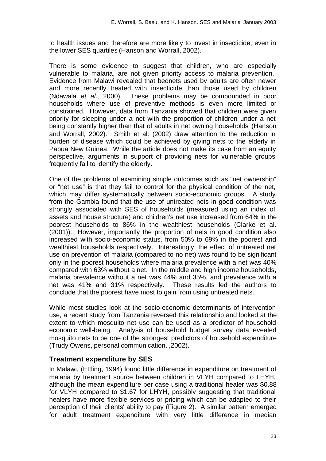to health issues and therefore are more likely to invest in insecticide, even in the lower SES quartiles (Hanson and Worrall, 2002).

There is some evidence to suggest that children, who are especially vulnerable to malaria, are not given priority access to malaria prevention. Evidence from Malawi revealed that bednets used by adults are often newer and more recently treated with insecticide than those used by children (Ndawala *et al.*, 2000). These problems may be compounded in poor households where use of preventive methods is even more limited or constrained. However, data from Tanzania showed that children were given priority for sleeping under a net with the proportion of children under a net being constantly higher than that of adults in net owning households (Hanson and Worrall, 2002). Smith et al. (2002) draw attention to the reduction in burden of disease which could be achieved by giving nets to the elderly in Papua New Guinea. While the article does not make its case from an equity perspective, arguments in support of providing nets for vulnerable groups frequently fail to identify the elderly.

One of the problems of examining simple outcomes such as "net ownership" or "net use" is that they fail to control for the physical condition of the net, which may differ systematically between socio-economic groups. A study from the Gambia found that the use of untreated nets in good condition was strongly associated with SES of households (measured using an index of assets and house structure) and children's net use increased from 64% in the poorest households to 86% in the wealthiest households (Clarke et al. (2001)). However, importantly the proportion of nets in good condition also increased with socio-economic status, from 50% to 69% in the poorest and wealthiest households respectively. Interestingly, the effect of untreated net use on prevention of malaria (compared to no net) was found to be significant only in the poorest households where malaria prevalence with a net was 40% compared with 63% without a net. In the middle and high income households, malaria prevalence without a net was 44% and 35%, and prevalence with a net was 41% and 31% respectively. These results led the authors to conclude that the poorest have most to gain from using untreated nets.

While most studies look at the socio-economic determinants of intervention use, a recent study from Tanzania reversed this relationship and looked at the extent to which mosquito net use can be used as a predictor of household economic well-being. Analysis of household budget survey data revealed mosquito nets to be one of the strongest predictors of household expenditure (Trudy Owens, personal communication, ,2002).

## **Treatment expenditure by SES**

In Malawi, (Ettling, 1994) found little difference in expenditure on treatment of malaria by treatment source between children in VLYH compared to LHYH, although the mean expenditure per case using a traditional healer was \$0.88 for VLYH compared to \$1.67 for LHYH, possibly suggesting that traditional healers have more flexible services or pricing which can be adapted to their perception of their clients' ability to pay (Figure 2). A similar pattern emerged for adult treatment expenditure with very little difference in median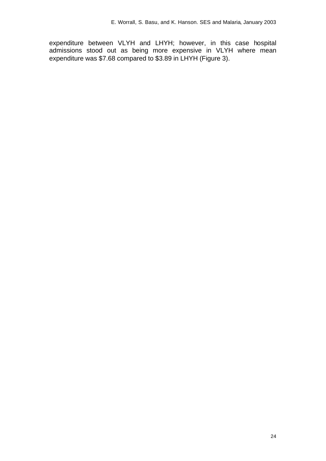expenditure between VLYH and LHYH; however, in this case hospital admissions stood out as being more expensive in VLYH where mean expenditure was \$7.68 compared to \$3.89 in LHYH (Figure 3).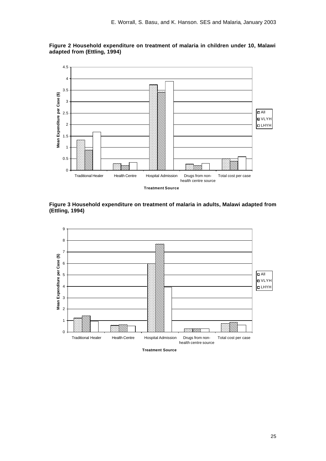

**Figure 2 Household expenditure on treatment of malaria in children under 10, Malawi adapted from (Ettling, 1994)**

**Figure 3 Household expenditure on treatment of malaria in adults, Malawi adapted from (Ettling, 1994)**



**Treatment Source**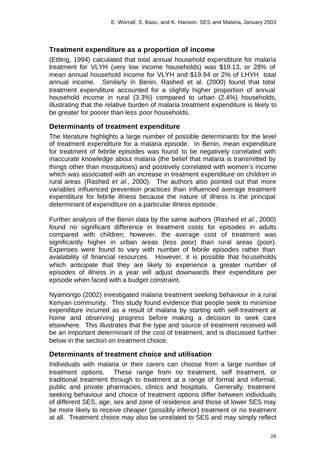## **Treatment expenditure as a proportion of income**

(Ettling, 1994) calculated that total annual household expenditure for malaria treatment for VLYH (very low income households) was \$19.13, or 28% of mean annual household income for VLYH and \$19.94 or 2% of LHYH total annual income. Similarly in Benin, Rashed et al. (2000) found that total treatment expenditure accounted for a slightly higher proportion of annual household income in rural (3.3%) compared to urban (2.4%) households, illustrating that the relative burden of malaria treatment expenditure is likely to be greater for poorer than less poor households.

## **Determinants of treatment expenditure**

The literature highlights a large number of possible determinants for the level of treatment expenditure for a malaria episode. In Benin, mean expenditure for treatment of febrile episodes was found to be negatively correlated with inaccurate knowledge about malaria (the belief that malaria is transmitted by things other than mosquitoes) and positively correlated with women's income which was associated with an increase in treatment expenditure on children in rural areas (Rashed *et al.*, 2000). The authors also pointed out that more variables influenced prevention practices than influenced average treatment expenditure for febrile illness because the nature of illness is the principal determinant of expenditure on a particular illness episode.

Further analysis of the Benin data by the same authors (Rashed *et al.*, 2000) found no significant difference in treatment costs for episodes in adults compared with children; however, the average cost of treatment was significantly higher in urban areas (less poor) than rural areas (poor). Expenses were found to vary with number of febrile episodes rather than availability of financial resources. However, it is possible that households which anticipate that they are likely to experience a greater number of episodes of illness in a year will adjust downwards their expenditure per episode when faced with a budget constraint.

Nyamongo (2002) investigated malaria treatment seeking behaviour in a rural Kenyan community. This study found evidence that people seek to minimise expenditure incurred as a result of malaria by starting with self-treatment at home and observing progress before making a decision to seek care elsewhere. This illustrates that the type and source of treatment received will be an important determinant of the cost of treatment, and is discussed further below in the section on treatment choice.

### **Determinants of treatment choice and utilisation**

Individuals with malaria or their carers can choose from a large number of treatment options. These range from no treatment, self treatment, or traditional treatment through to treatment at a range of formal and informal, public and private pharmacies, clinics and hospitals. Generally, treatment seeking behaviour and choice of treatment options differ between individuals of different SES, age, sex and zone of residence and those of lower SES may be more likely to receive cheaper (possibly inferior) treatment or no treatment at all. Treatment choice may also be unrelated to SES and may simply reflect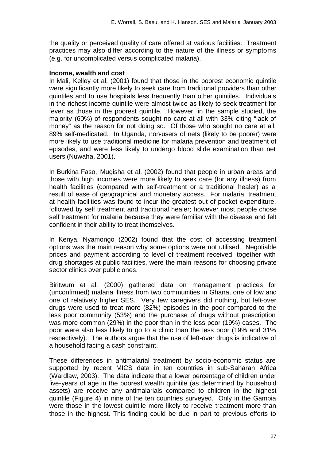the quality or perceived quality of care offered at various facilities. Treatment practices may also differ according to the nature of the illness or symptoms (e.g. for uncomplicated versus complicated malaria).

#### **Income, wealth and cost**

In Mali, Kelley et al. (2001) found that those in the poorest economic quintile were significantly more likely to seek care from traditional providers than other quintiles and to use hospitals less frequently than other quintiles. Individuals in the richest income quintile were almost twice as likely to seek treatment for fever as those in the poorest quintile. However, in the sample studied, the majority (60%) of respondents sought no care at all with 33% citing "lack of money" as the reason for not doing so. Of those who sought no care at all, 89% self-medicated. In Uganda, non-users of nets (likely to be poorer) were more likely to use traditional medicine for malaria prevention and treatment of episodes, and were less likely to undergo blood slide examination than net users (Nuwaha, 2001).

In Burkina Faso, Mugisha et al. (2002) found that people in urban areas and those with high incomes were more likely to seek care (for any illness) from health facilities (compared with self-treatment or a traditional healer) as a result of ease of geographical and monetary access. For malaria, treatment at health facilities was found to incur the greatest out of pocket expenditure, followed by self treatment and traditional healer; however most people chose self treatment for malaria because they were familiar with the disease and felt confident in their ability to treat themselves.

In Kenya, Nyamongo (2002) found that the cost of accessing treatment options was the main reason why some options were not utilised. Negotiable prices and payment according to level of treatment received, together with drug shortages at public facilities, were the main reasons for choosing private sector clinics over public ones.

Biritwum et al. (2000) gathered data on management practices for (unconfirmed) malaria illness from two communities in Ghana, one of low and one of relatively higher SES. Very few caregivers did nothing, but left-over drugs were used to treat more (82%) episodes in the poor compared to the less poor community (53%) and the purchase of drugs without prescription was more common (29%) in the poor than in the less poor (19%) cases. The poor were also less likely to go to a clinic than the less poor (19% and 31% respectively). The authors argue that the use of left-over drugs is indicative of a household facing a cash constraint.

These differences in antimalarial treatment by socio-economic status are supported by recent MICS data in ten countries in sub-Saharan Africa (Wardlaw, 2003). The data indicate that a lower percentage of children under five-years of age in the poorest wealth quintile (as determined by household assets) are receive any antimalarials compared to children in the highest quintile (Figure 4) in nine of the ten countries surveyed. Only in the Gambia were those in the lowest quintile more likely to receive treatment more than those in the highest. This finding could be due in part to previous efforts to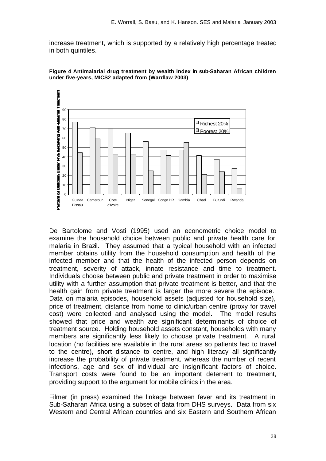increase treatment, which is supported by a relatively high percentage treated in both quintiles.





De Bartolome and Vosti (1995) used an econometric choice model to examine the household choice between public and private health care for malaria in Brazil. They assumed that a typical household with an infected member obtains utility from the household consumption and health of the infected member and that the health of the infected person depends on treatment, severity of attack, innate resistance and time to treatment. Individuals choose between public and private treatment in order to maximise utility with a further assumption that private treatment is better, and that the health gain from private treatment is larger the more severe the episode. Data on malaria episodes, household assets (adjusted for household size), price of treatment, distance from home to clinic/urban centre (proxy for travel cost) were collected and analysed using the model. The model results showed that price and wealth are significant determinants of choice of treatment source. Holding household assets constant, households with many members are significantly less likely to choose private treatment. A rural location (no facilities are available in the rural areas so patients had to travel to the centre), short distance to centre, and high literacy all significantly increase the probability of private treatment, whereas the number of recent infections, age and sex of individual are insignificant factors of choice. Transport costs were found to be an important deterrent to treatment, providing support to the argument for mobile clinics in the area.

Filmer (in press) examined the linkage between fever and its treatment in Sub-Saharan Africa using a subset of data from DHS surveys. Data from six Western and Central African countries and six Eastern and Southern African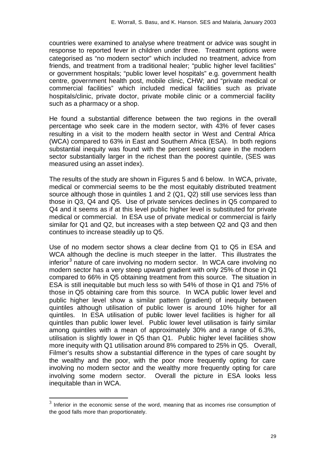countries were examined to analyse where treatment or advice was sought in response to reported fever in children under three. Treatment options were categorised as "no modern sector" which included no treatment, advice from friends, and treatment from a traditional healer; "public higher level facilities" or government hospitals; "public lower level hospitals" e.g. government health centre, government health post, mobile clinic, CHW; and "private medical or commercial facilities" which included medical facilities such as private hospitals/clinic, private doctor, private mobile clinic or a commercial facility such as a pharmacy or a shop.

He found a substantial difference between the two regions in the overall percentage who seek care in the modern sector, with 43% of fever cases resulting in a visit to the modern health sector in West and Central Africa (WCA) compared to 63% in East and Southern Africa (ESA). In both regions substantial inequity was found with the percent seeking care in the modern sector substantially larger in the richest than the poorest quintile, (SES was measured using an asset index).

The results of the study are shown in Figures 5 and 6 below. In WCA, private, medical or commercial seems to be the most equitably distributed treatment source although those in quintiles 1 and 2 (Q1, Q2) still use services less than those in Q3, Q4 and Q5. Use of private services declines in Q5 compared to Q4 and it seems as if at this level public higher level is substituted for private medical or commercial. In ESA use of private medical or commercial is fairly similar for Q1 and Q2, but increases with a step between Q2 and Q3 and then continues to increase steadily up to Q5.

Use of no modern sector shows a clear decline from Q1 to Q5 in ESA and WCA although the decline is much steeper in the latter. This illustrates the inferior<sup>3</sup> nature of care involving no modern sector. In WCA care involving no modern sector has a very steep upward gradient with only 25% of those in Q1 compared to 66% in Q5 obtaining treatment from this source. The situation in ESA is still inequitable but much less so with 54% of those in Q1 and 75% of those in Q5 obtaining care from this source. In WCA public lower level and public higher level show a similar pattern (gradient) of inequity between quintiles although utilisation of public lower is around 10% higher for all quintiles. In ESA utilisation of public lower level facilities is higher for all quintiles than public lower level. Public lower level utilisation is fairly similar among quintiles with a mean of approximately 30% and a range of 6.3%, utilisation is slightly lower in Q5 than Q1. Public higher level facilities show more inequity with Q1 utilisation around 8% compared to 25% in Q5. Overall, Filmer's results show a substantial difference in the types of care sought by the wealthy and the poor, with the poor more frequently opting for care involving no modern sector and the wealthy more frequently opting for care involving some modern sector. Overall the picture in ESA looks less inequitable than in WCA.

l

 $3$  Inferior in the economic sense of the word, meaning that as incomes rise consumption of the good falls more than proportionately.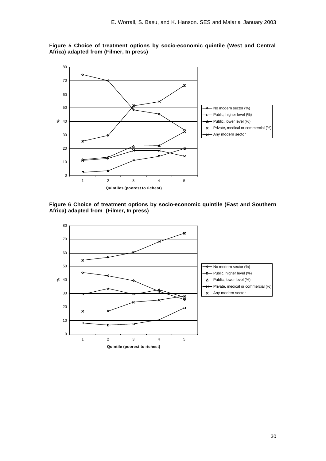

**Figure 5 Choice of treatment options by socio-economic quintile (West and Central Africa) adapted from (Filmer, In press)**



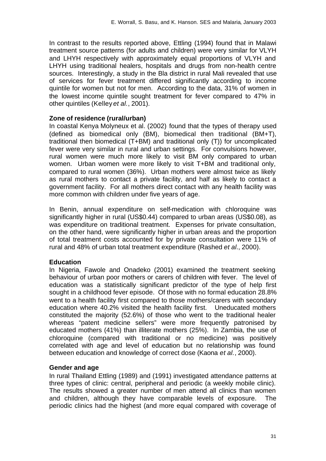In contrast to the results reported above, Ettling (1994) found that in Malawi treatment source patterns (for adults and children) were very similar for VLYH and LHYH respectively with approximately equal proportions of VLYH and LHYH using traditional healers, hospitals and drugs from non-health centre sources. Interestingly, a study in the Bla district in rural Mali revealed that use of services for fever treatment differed significantly according to income quintile for women but not for men. According to the data, 31% of women in the lowest income quintile sought treatment for fever compared to 47% in other quintiles (Kelley *et al.*, 2001).

#### **Zone of residence (rural/urban)**

In coastal Kenya Molyneux et al. (2002) found that the types of therapy used (defined as biomedical only (BM), biomedical then traditional (BM+T), traditional then biomedical (T+BM) and traditional only (T)) for uncomplicated fever were very similar in rural and urban settings. For convulsions however, rural women were much more likely to visit BM only compared to urban women. Urban women were more likely to visit T+BM and traditional only, compared to rural women (36%). Urban mothers were almost twice as likely as rural mothers to contact a private facility, and half as likely to contact a government facility. For all mothers direct contact with any health facility was more common with children under five years of age.

In Benin, annual expenditure on self-medication with chloroquine was significantly higher in rural (US\$0.44) compared to urban areas (US\$0.08), as was expenditure on traditional treatment. Expenses for private consultation, on the other hand, were significantly higher in urban areas and the proportion of total treatment costs accounted for by private consultation were 11% of rural and 48% of urban total treatment expenditure (Rashed *et al.*, 2000).

### **Education**

In Nigeria, Fawole and Onadeko (2001) examined the treatment seeking behaviour of urban poor mothers or carers of children with fever. The level of education was a statistically significant predictor of the type of help first sought in a childhood fever episode. Of those with no formal education 28.8% went to a health facility first compared to those mothers/carers with secondary education where 40.2% visited the health facility first. Uneducated mothers constituted the majority (52.6%) of those who went to the traditional healer whereas "patent medicine sellers" were more frequently patronised by educated mothers (41%) than illiterate mothers (25%). In Zambia, the use of chloroquine (compared with traditional or no medicine) was positively correlated with age and level of education but no relationship was found between education and knowledge of correct dose (Kaona *et al.*, 2000).

### **Gender and age**

In rural Thailand Ettling (1989) and (1991) investigated attendance patterns at three types of clinic: central, peripheral and periodic (a weekly mobile clinic). The results showed a greater number of men attend all clinics than women and children, although they have comparable levels of exposure. The periodic clinics had the highest (and more equal compared with coverage of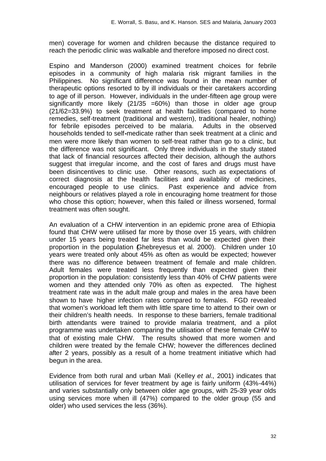men) coverage for women and children because the distance required to reach the periodic clinic was walkable and therefore imposed no direct cost.

Espino and Manderson (2000) examined treatment choices for febrile episodes in a community of high malaria risk migrant families in the Philippines. No significant difference was found in the mean number of therapeutic options resorted to by ill individuals or their caretakers according to age of ill person. However, individuals in the under-fifteen age group were significantly more likely  $(21/35 = 60%)$  than those in older age group (21/62=33.9%) to seek treatment at health facilities (compared to home remedies, self-treatment (traditional and western), traditional healer, nothing) for febrile episodes perceived to be malaria. Adults in the observed households tended to self**-**medicate rather than seek treatment at a clinic and men were more likely than women to self-treat rather than go to a clinic, but the difference was not significant. Only three individuals in the study stated that lack of financial resources affected their decision, although the authors suggest that irregular income, and the cost of fares and drugs must have been disincentives to clinic use. Other reasons, such as expectations of correct diagnosis at the health facilities and availability of medicines, encouraged people to use clinics. Past experience and advice from neighbours or relatives played a role in encouraging home treatment for those who chose this option; however, when this failed or illness worsened, formal treatment was often sought.

An evaluation of a CHW intervention in an epidemic prone area of Ethiopia found that CHW were utilised far more by those over 15 years, with children under 15 years being treated far less than would be expected given their proportion in the population (Ghebreyesus et al. 2000). Children under 10 years were treated only about 45% as often as would be expected; however there was no difference between treatment of female and male children. Adult females were treated less frequently than expected given their proportion in the population: consistently less than 40% of CHW patients were women and they attended only 70% as often as expected. The highest treatment rate was in the adult male group and males in the area have been shown to have higher infection rates compared to females. FGD revealed that women's workload left them with little spare time to attend to their own or their children's health needs. In response to these barriers, female traditional birth attendants were trained to provide malaria treatment, and a pilot programme was undertaken comparing the utilisation of these female CHW to that of existing male CHW. The results showed that more women and children were treated by the female CHW; however the differences declined after 2 years, possibly as a result of a home treatment initiative which had begun in the area.

Evidence from both rural and urban Mali (Kelley *et al.*, 2001) indicates that utilisation of services for fever treatment by age is fairly uniform (43%-44%) and varies substantially only between older age groups, with 25-39 year olds using services more when ill (47%) compared to the older group (55 and older) who used services the less (36%).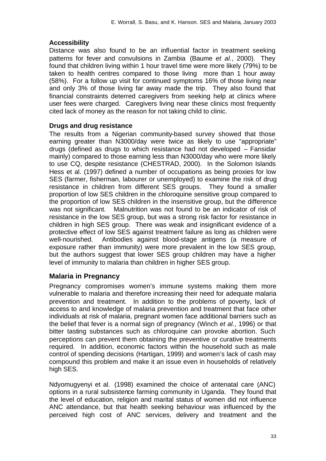## **Accessibility**

Distance was also found to be an influential factor in treatment seeking patterns for fever and convulsions in Zambia (Baume *et al.*, 2000). They found that children living within 1 hour travel time were more likely (79%) to be taken to health centres compared to those living more than 1 hour away (58%). For a follow up visit for continued symptoms 16% of those living near and only 3% of those living far away made the trip. They also found that financial constraints deterred caregivers from seeking help at clinics where user fees were charged. Caregivers living near these clinics most frequently cited lack of money as the reason for not taking child to clinic.

## **Drugs and drug resistance**

The results from a Nigerian community-based survey showed that those earning greater than N3000/day were twice as likely to use "appropriate" drugs (defined as drugs to which resistance had not developed – Fansidar mainly) compared to those earning less than N3000/day who were more likely to use CQ, despite resistance (CHESTRAD, 2000). In the Solomon Islands Hess et al. (1997) defined a number of occupations as being proxies for low SES (farmer, fisherman, labourer or unemployed) to examine the risk of drug resistance in children from different SES groups. They found a smaller proportion of low SES children in the chloroquine sensitive group compared to the proportion of low SES children in the insensitive group, but the difference was not significant. Malnutrition was not found to be an indicator of risk of resistance in the low SES group, but was a strong risk factor for resistance in children in high SES group. There was weak and insignificant evidence of a protective effect of low SES against treatment failure as long as children were well-nourished. Antibodies against blood-stage antigens (a measure of exposure rather than immunity) were more prevalent in the low SES group, but the authors suggest that lower SES group children may have a higher level of immunity to malaria than children in higher SES group.

## **Malaria in Pregnancy**

Pregnancy compromises women's immune systems making them more vulnerable to malaria and therefore increasing their need for adequate malaria prevention and treatment. In addition to the problems of poverty, lack of access to and knowledge of malaria prevention and treatment that face other individuals at risk of malaria, pregnant women face additional barriers such as the belief that fever is a normal sign of pregnancy (Winch *et al.*, 1996) or that bitter tasting substances such as chloroquine can provoke abortion. Such perceptions can prevent them obtaining the preventive or curative treatments required. In addition, economic factors within the household such as male control of spending decisions (Hartigan, 1999) and women's lack of cash may compound this problem and make it an issue even in households of relatively high SES.

Ndyomugyenyi et al. (1998) examined the choice of antenatal care (ANC) options in a rural subsistence farming community in Uganda. They found that the level of education, religion and marital status of women did not influence ANC attendance, but that health seeking behaviour was influenced by the perceived high cost of ANC services, delivery and treatment and the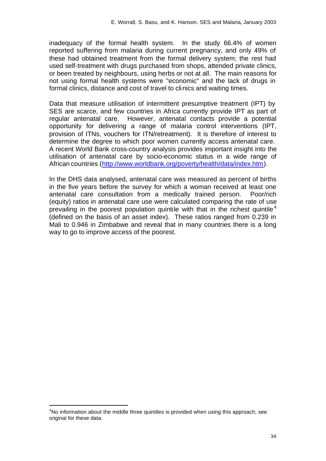inadequacy of the formal health system. In the study 66.4% of women reported suffering from malaria during current pregnancy, and only 49% of these had obtained treatment from the formal delivery system; the rest had used self-treatment with drugs purchased from shops, attended private clinics, or been treated by neighbours, using herbs or not at all. The main reasons for not using formal health systems were "economic" and the lack of drugs in formal clinics, distance and cost of travel to clinics and waiting times.

Data that measure utilisation of intermittent presumptive treatment (IPT) by SES are scarce, and few countries in Africa currently provide IPT as part of regular antenatal care. However, antenatal contacts provide a potential opportunity for delivering a range of malaria control interventions (IPT, provision of ITNs, vouchers for ITN/retreatment). It is therefore of interest to determine the degree to which poor women currently access antenatal care. A recent World Bank cross-country analysis provides important insight into the utilisation of antenatal care by socio-economic status in a wide range of African countries (http://www.worldbank.org/poverty/health/data/index.htm).

In the DHS data analysed, antenatal care was measured as percent of births in the five years before the survey for which a woman received at least one antenatal care consultation from a medically trained person. Poor/rich (equity) ratios in antenatal care use were calculated comparing the rate of use prevailing in the poorest population quintile with that in the richest quintile<sup>4</sup> (defined on the basis of an asset index). These ratios ranged from 0.239 in Mali to 0.946 in Zimbabwe and reveal that in many countries there is a long way to go to improve access of the poorest.

l

 $4$ No information about the middle three quintiles is provided when using this approach, see original for these data.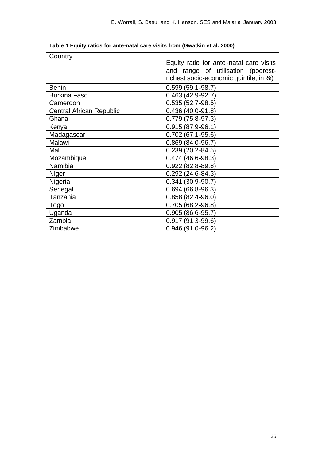| Country                         |                                         |
|---------------------------------|-----------------------------------------|
|                                 | Equity ratio for ante-natal care visits |
|                                 | and range of utilisation (poorest-      |
|                                 | richest socio-economic quintile, in %)  |
| <b>Benin</b>                    | $0.599(59.1 - 98.7)$                    |
| <b>Burkina Faso</b>             | $0.463(42.9-92.7)$                      |
| Cameroon                        | $0.535(52.7-98.5)$                      |
| <b>Central African Republic</b> | $0.436(40.0-91.8)$                      |
| Ghana                           | $0.779(75.8-97.3)$                      |
| Kenya                           | $0.915(87.9-96.1)$                      |
| Madagascar                      | $0.702(67.1 - 95.6)$                    |
| Malawi                          | $0.869(84.0-96.7)$                      |
| Mali                            | $0.239(20.2 - 84.5)$                    |
| Mozambique                      | $0.474(46.6-98.3)$                      |
| Namibia                         | $0.922(82.8-89.8)$                      |
| Níger                           | $0.292(24.6 - 84.3)$                    |
| Nigeria                         | $0.341(30.9-90.7)$                      |
| Senegal                         | $0.694(66.8-96.3)$                      |
| Tanzania                        | $0.858(82.4 - 96.0)$                    |
| Togo                            | $0.705(68.2 - 96.8)$                    |
| Uganda                          | $0.905(86.6-95.7)$                      |
| Zambia                          | $0.917(91.3-99.6)$                      |
| Zimbabwe                        | $0.946(91.0 - 96.2)$                    |

**Table 1 Equity ratios for ante-natal care visits from (Gwatkin et al. 2000)**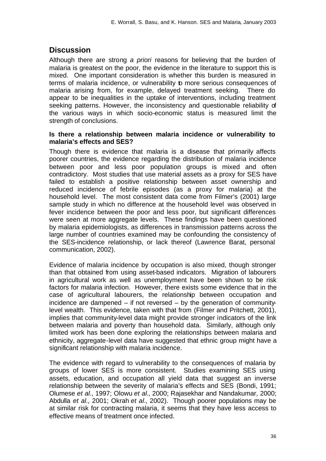## **Discussion**

Although there are strong *a priori* reasons for believing that the burden of malaria is greatest on the poor, the evidence in the literature to support this is mixed. One important consideration is whether this burden is measured in terms of malaria incidence, or vulnerability to more serious consequences of malaria arising from, for example, delayed treatment seeking. There do appear to be inequalities in the uptake of interventions, including treatment seeking patterns. However, the inconsistency and questionable reliability of the various ways in which socio-economic status is measured limit the strength of conclusions.

#### **Is there a relationship between malaria incidence or vulnerability to malaria's effects and SES?**

Though there is evidence that malaria is a disease that primarily affects poorer countries, the evidence regarding the distribution of malaria incidence between poor and less poor population groups is mixed and often contradictory. Most studies that use material assets as a proxy for SES have failed to establish a positive relationship between asset ownership and reduced incidence of febrile episodes (as a proxy for malaria) at the household level. The most consistent data come from Filmer's (2001) large sample study in which no difference at the household level was observed in fever incidence between the poor and less poor, but significant differences were seen at more aggregate levels. These findings have been questioned by malaria epidemiologists, as differences in transmission patterns across the large number of countries examined may be confounding the consistency of the SES-incidence relationship, or lack thereof (Lawrence Barat, personal communication, 2002).

Evidence of malaria incidence by occupation is also mixed, though stronger than that obtained from using asset-based indicators. Migration of labourers in agricultural work as well as unemployment have been shown to be risk factors for malaria infection. However, there exists some evidence that in the case of agricultural labourers, the relationship between occupation and incidence are dampened  $-$  if not reversed  $-$  by the generation of communitylevel wealth. This evidence, taken with that from (Filmer and Pritchett, 2001), implies that community-level data might provide stronger indicators of the link between malaria and poverty than household data. Similarly, although only limited work has been done exploring the relationships between malaria and ethnicity, aggregate-level data have suggested that ethnic group might have a significant relationship with malaria incidence.

The evidence with regard to vulnerability to the consequences of malaria by groups of lower SES is more consistent. Studies examining SES using assets, education, and occupation all yield data that suggest an inverse relationship between the severity of malaria's effects and SES (Bondi, 1991; Olumese *et al.*, 1997; Olowu *et al.*, 2000; Rajasekhar and Nandakumar, 2000; Abdulla *et al.*, 2001; Okrah *et al.*, 2002). Though poorer populations may be at similar risk for contracting malaria, it seems that they have less access to effective means of treatment once infected.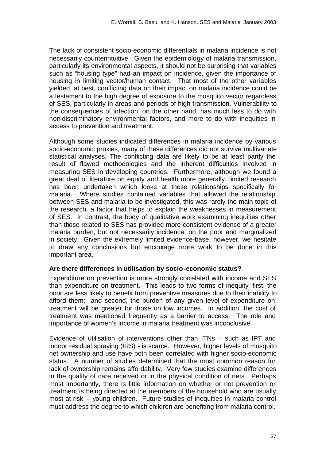The lack of consistent socio-economic differentials in malaria incidence is not necessarily counterintuitive. Given the epidemiology of malaria transmission, particularly its environmental aspects, it should not be surprising that variables such as "housing type" had an impact on incidence, given the importance of housing in limiting vector/human contact. That most of the other variables yielded, at best, conflicting data on their impact on malaria incidence could be a testament to the high degree of exposure to the mosquito vector regardless of SES, particularly in areas and periods of high transmission. Vulnerability to the consequences of infection, on the other hand, has much less to do with non-discriminatory environmental factors, and more to do with inequities in access to prevention and treatment.

Although some studies indicated differences in malaria incidence by various socio-economic proxies, many of these differences did not survive multivariate statistical analyses. The conflicting data are likely to be at least partly the result of flawed methodologies and the inherent difficulties involved in measuring SES in developing countries. Furthermore, although we found a great deal of literature on equity and health more generally, limited research has been undertaken which looks at these relationships specifically for malaria. Where studies contained variables that allowed the relationship between SES and malaria to be investigated, this was rarely the main topic of the research, a factor that helps to explain the weaknesses in measurement of SES. In contrast, the body of qualitative work examining inequities other than those related to SES has provided more consistent evidence of a greater malaria burden, but not necessarily incidence, on the poor and marginalized in society. Given the extremely limited evidence-base, however, we hesitate to draw any conclusions but encourage more work to be done in this important area.

### **Are there differences in utilisation by socio-economic status?**

Expenditure on prevention is more strongly correlated with income and SES than expenditure on treatment. This leads to two forms of inequity: first, the poor are less likely to benefit from preventive measures due to their inability to afford them; and second, the burden of any given level of expenditure on treatment will be greater for those on low incomes. In addition, the cost of treatment was mentioned frequently as a barrier to access. The role and importance of women's income in malaria treatment was inconclusive.

Evidence of utilisation of interventions other than ITNs – such as IPT and indoor residual spraying (IRS) - is scarce. However, higher levels of mosquito net ownership and use have both been correlated with higher socio-economic status. A number of studies determined that the most common reason for lack of ownership remains affordability. Very few studies examine differences in the quality of care received or in the physical condition of nets. Perhaps most importantly, there is little information on whether or not prevention or treatment is being directed at the members of the household who are usually most at risk – young children. Future studies of inequities in malaria control must address the degree to which children are benefiting from malaria control.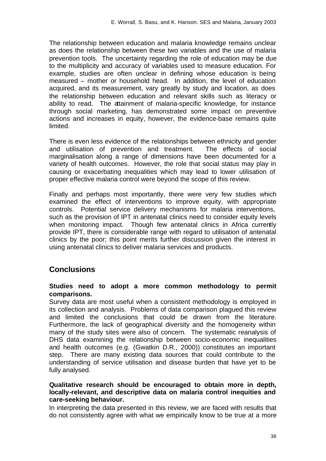The relationship between education and malaria knowledge remains unclear as does the relationship between these two variables and the use of malaria prevention tools. The uncertainty regarding the role of education may be due to the multiplicity and accuracy of variables used to measure education. For example, studies are often unclear in defining whose education is being measured – mother or household head. In addition, the level of education acquired, and its measurement, vary greatly by study and location, as does the relationship between education and relevant skills such as literacy or ability to read. The attainment of malaria-specific knowledge, for instance through social marketing, has demonstrated some impact on preventive actions and increases in equity, however, the evidence-base remains quite limited.

There is even less evidence of the relationships between ethnicity and gender and utilisation of prevention and treatment. The effects of social marginalisation along a range of dimensions have been documented for a variety of health outcomes. However, the role that social status may play in causing or exacerbating inequalities which may lead to lower utilisation of proper effective malaria control were beyond the scope of this review.

Finally and perhaps most importantly, there were very few studies which examined the effect of interventions to improve equity, with appropriate controls. Potential service delivery mechanisms for malaria interventions, such as the provision of IPT in antenatal clinics need to consider equity levels when monitoring impact. Though few antenatal clinics in Africa currently provide IPT, there is considerable range with regard to utilisation of antenatal clinics by the poor; this point merits further discussion given the interest in using antenatal clinics to deliver malaria services and products.

## **Conclusions**

#### **Studies need to adopt a more common methodology to permit comparisons.**

Survey data are most useful when a consistent methodology is employed in its collection and analysis. Problems of data comparison plagued this review and limited the conclusions that could be drawn from the literature. Furthermore, the lack of geographical diversity and the homogeneity within many of the study sites were also of concern. The systematic reanalysis of DHS data examining the relationship between socio-economic inequalities and health outcomes (e.g. (Gwatkin D.R., 2000)) constitutes an important step. There are many existing data sources that could contribute to the understanding of service utilisation and disease burden that have yet to be fully analysed.

#### **Qualitative research should be encouraged to obtain more in depth, locally-relevant, and descriptive data on malaria control inequities and care-seeking behaviour.**

In interpreting the data presented in this review, we are faced with results that do not consistently agree with what we empirically know to be true at a more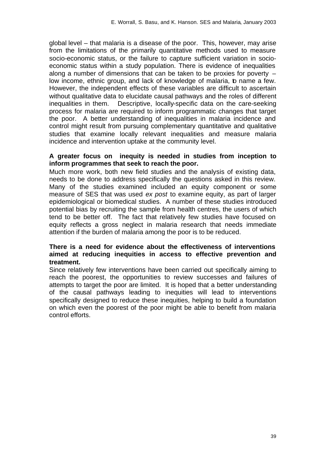global level – that malaria is a disease of the poor. This, however, may arise from the limitations of the primarily quantitative methods used to measure socio-economic status, or the failure to capture sufficient variation in socioeconomic status within a study population. There is evidence of inequalities along a number of dimensions that can be taken to be proxies for poverty – low income, ethnic group, and lack of knowledge of malaria, b name a few. However, the independent effects of these variables are difficult to ascertain without qualitative data to elucidate causal pathways and the roles of different inequalities in them. Descriptive, locally-specific data on the care-seeking process for malaria are required to inform programmatic changes that target the poor. A better understanding of inequalities in malaria incidence and control might result from pursuing complementary quantitative and qualitative studies that examine locally relevant inequalities and measure malaria incidence and intervention uptake at the community level.

#### **A greater focus on inequity is needed in studies from inception to inform programmes that seek to reach the poor.**

Much more work, both new field studies and the analysis of existing data, needs to be done to address specifically the questions asked in this review. Many of the studies examined included an equity component or some measure of SES that was used *ex post* to examine equity, as part of larger epidemiological or biomedical studies. A number of these studies introduced potential bias by recruiting the sample from health centres, the users of which tend to be better off. The fact that relatively few studies have focused on equity reflects a gross neglect in malaria research that needs immediate attention if the burden of malaria among the poor is to be reduced.

#### **There is a need for evidence about the effectiveness of interventions aimed at reducing inequities in access to effective prevention and treatment.**

Since relatively few interventions have been carried out specifically aiming to reach the poorest, the opportunities to review successes and failures of attempts to target the poor are limited. It is hoped that a better understanding of the causal pathways leading to inequities will lead to interventions specifically designed to reduce these inequities, helping to build a foundation on which even the poorest of the poor might be able to benefit from malaria control efforts.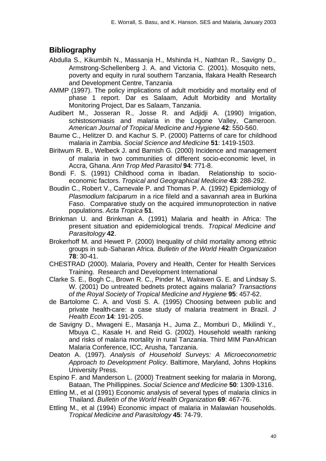## **Bibliography**

- Abdulla S., Kikumbih N., Massanja H., Mshinda H., Nathtan R., Savigny D., Armstrong-Schellenberg J. A. and Victoria C. (2001). Mosquito nets, poverty and equity in rural southern Tanzania, Ifakara Health Research and Development Centre, Tanzania
- AMMP (1997). The policy implications of adult morbidity and mortality end of phase 1 report. Dar es Salaam, Adult Morbidity and Mortality Monitoring Project, Dar es Salaam, Tanzania.
- Audibert M., Josseran R., Josse R. and Adjidji A. (1990) Irrigation, schistosomiasis and malaria in the Logone Valley, Cameroon. *American Journal of Tropical Medicine and Hygiene* **42**: 550-560.
- Baume C., Helitzer D. and Kachur S. P. (2000) Patterns of care for childhood malaria in Zambia. *Social Science and Medicine* **51**: 1419-1503.
- Biritwum R. B., Welbeck J. and Barnish G. (2000) Incidence and management of malaria in two communities of different socio-economic level, in Accra, Ghana. *Ann Trop Med Parasitol* **94**: 771-8.
- Bondi F. S. (1991) Childhood coma in Ibadan. Relationship to socioeconomic factors. *Tropical and Geographical Medicine* **43**: 288-292.
- Boudin C., Robert V., Carnevale P. and Thomas P. A. (1992) Epidemiology of *Plasmodium falciparum* in a rice fileld and a savannah area in Burkina Faso. Comparative study on the acquired immunoprotection in native populations. *Acta Tropica* **51**.
- Brinkman U. and Brinkman A. (1991) Malaria and health in Africa: The present situation and epidemiological trends. *Tropical Medicine and Parasitology* **42**.
- Brokerhoff M. and Hewett P. (2000) Inequality of child mortality among ethnic groups in sub-Saharan Africa. *Bulletin of the World Health Organization* **78**: 30-41.
- CHESTRAD (2000). Malaria, Povery and Health, Center for Health Services Training. Research and Development International
- Clarke S. E., Bogh C., Brown R. C., Pinder M., Walraven G. E. and Lindsay S. W. (2001) Do untreated bednets protect agains malaria? *Transactions of the Royal Society of Tropical Medicine and Hygiene* **95**: 457-62.
- de Bartolome C. A. and Vosti S. A. (1995) Choosing between public and private health-care: a case study of malaria treatment in Brazil. *J Health Econ* **14**: 191-205.
- de Savigny D., Mwageni E., Masanja H., Juma Z., Momburi D., Mkilindi Y., Mbuya C., Kasale H. and Reid G. (2002). Household wealth ranking and risks of malaria mortality in rural Tanzania. Third MIM Pan-African Malaria Conference, ICC, Arusha, Tanzania.
- Deaton A. (1997). *Analysis of Household Surveys: A Microeconometric Approach to Development Policy*. Baltimore, Maryland, Johns Hopkins University Press.
- Espino F. and Manderson L. (2000) Treatment seeking for malaria in Morong, Bataan, The Phillippines. *Social Science and Medicine* **50**: 1309-1316.
- Ettling M., et al (1991) Economic analysis of several types of malaria clinics in Thailand. *Bulletin of the World Health Organization* **69**: 467-76.
- Ettling M., et al (1994) Economic impact of malaria in Malawian households. *Tropical Medicine and Parasitology* **45**: 74-79.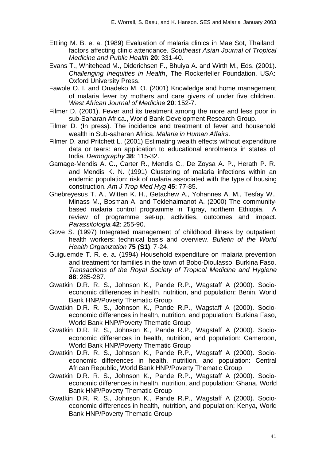- Ettling M. B. e. a. (1989) Evaluation of malaria clinics in Mae Sot, Thailand: factors affecting clinic attendance. *Southeast Asian Journal of Tropical Medicine and Public Health* **20**: 331-40.
- Evans T., Whitehead M., Diderichsen F., Bhuiya A. and Wirth M., Eds. (2001). *Challenging Inequities in Health*, The Rockerfeller Foundation. USA: Oxford University Press.
- Fawole O. I. and Onadeko M. O. (2001) Knowledge and home management of malaria fever by mothers and care givers of under five children. *West African Journal of Medicine* **20**: 152-7.
- Filmer D. (2001). Fever and its treatment among the more and less poor in sub-Saharan Africa., World Bank Development Research Group.
- Filmer D. (In press). The incidence and treatment of fever and household wealth in Sub-saharan Africa. *Malaria in Human Affairs*.
- Filmer D. and Pritchett L. (2001) Estimating wealth effects without expenditure data or tears: an application to educational enrolments in states of India. *Demography* **38**: 115-32.
- Gamage-Mendis A. C., Carter R., Mendis C., De Zoysa A. P., Herath P. R. and Mendis K. N. (1991) Clustering of malaria infections within an endemic population: risk of malaria associated with the type of housing construction. *Am J Trop Med Hyg* **45**: 77-85.
- Ghebreyesus T. A., Witten K. H., Getachew A., Yohannes A. M., Tesfay W., Minass M., Bosman A. and Teklehaimanot A. (2000) The communitybased malaria control programme in Tigray, northern Ethiopia. A review of programme set-up, activities, outcomes and impact. *Parassitologia* **42**: 255-90.
- Gove S. (1997) Integrated management of childhood illness by outpatient health workers: technical basis and overview. *Bulletin of the World Health Organization* **75 (S1)**: 7-24.
- Guiguemde T. R. e. a. (1994) Household expenditure on malaria prevention and treatment for families in the town of Bobo-Dioulasso, Burkina Faso. *Transactions of the Royal Society of Tropical Medicine and Hygiene* **88**: 285-287.
- Gwatkin D.R. R. S., Johnson K., Pande R.P., Wagstaff A (2000). Socioeconomic differences in health, nutrition, and population: Benin, World Bank HNP/Poverty Thematic Group
- Gwatkin D.R. R. S., Johnson K., Pande R.P., Wagstaff A (2000). Socioeconomic differences in health, nutrition, and population: Burkina Faso, World Bank HNP/Poverty Thematic Group
- Gwatkin D.R. R. S., Johnson K., Pande R.P., Wagstaff A (2000). Socioeconomic differences in health, nutrition, and population: Cameroon, World Bank HNP/Poverty Thematic Group
- Gwatkin D.R. R. S., Johnson K., Pande R.P., Wagstaff A (2000). Socioeconomic differences in health, nutrition, and population: Central African Republic, World Bank HNP/Poverty Thematic Group
- Gwatkin D.R. R. S., Johnson K., Pande R.P., Wagstaff A (2000). Socioeconomic differences in health, nutrition, and population: Ghana, World Bank HNP/Poverty Thematic Group
- Gwatkin D.R. R. S., Johnson K., Pande R.P., Wagstaff A (2000). Socioeconomic differences in health, nutrition, and population: Kenya, World Bank HNP/Poverty Thematic Group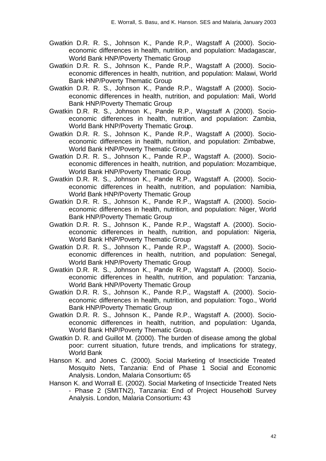- Gwatkin D.R. R. S., Johnson K., Pande R.P., Wagstaff A (2000). Socioeconomic differences in health, nutrition, and population: Madagascar, World Bank HNP/Poverty Thematic Group
- Gwatkin D.R. R. S., Johnson K., Pande R.P., Wagstaff A (2000). Socioeconomic differences in health, nutrition, and population: Malawi, World Bank HNP/Poverty Thematic Group
- Gwatkin D.R. R. S., Johnson K., Pande R.P., Wagstaff A (2000). Socioeconomic differences in health, nutrition, and population: Mali, World Bank HNP/Poverty Thematic Group
- Gwatkin D.R. R. S., Johnson K., Pande R.P., Wagstaff A (2000). Socioeconomic differences in health, nutrition, and population: Zambia, World Bank HNP/Poverty Thematic Group.
- Gwatkin D.R. R. S., Johnson K., Pande R.P., Wagstaff A (2000). Socioeconomic differences in health, nutrition, and population: Zimbabwe, World Bank HNP/Poverty Thematic Group
- Gwatkin D.R. R. S., Johnson K., Pande R.P., Wagstaff A. (2000). Socioeconomic differences in health, nutrition, and population: Mozambique, World Bank HNP/Poverty Thematic Group
- Gwatkin D.R. R. S., Johnson K., Pande R.P., Wagstaff A. (2000). Socioeconomic differences in health, nutrition, and population: Namibia, World Bank HNP/Poverty Thematic Group
- Gwatkin D.R. R. S., Johnson K., Pande R.P., Wagstaff A. (2000). Socioeconomic differences in health, nutrition, and population: Niger, World Bank HNP/Poverty Thematic Group
- Gwatkin D.R. R. S., Johnson K., Pande R.P., Wagstaff A. (2000). Socioeconomic differences in health, nutrition, and population: Nigeria, World Bank HNP/Poverty Thematic Group
- Gwatkin D.R. R. S., Johnson K., Pande R.P., Wagstaff A. (2000). Socioeconomic differences in health, nutrition, and population: Senegal, World Bank HNP/Poverty Thematic Group
- Gwatkin D.R. R. S., Johnson K., Pande R.P., Wagstaff A. (2000). Socioeconomic differences in health, nutrition, and population: Tanzania, World Bank HNP/Poverty Thematic Group
- Gwatkin D.R. R. S., Johnson K., Pande R.P., Wagstaff A. (2000). Socioeconomic differences in health, nutrition, and population: Togo., World Bank HNP/Poverty Thematic Group
- Gwatkin D.R. R. S., Johnson K., Pande R.P., Wagstaff A. (2000). Socioeconomic differences in health, nutrition, and population: Uganda, World Bank HNP/Poverty Thematic Group.
- Gwatkin D. R. and Guillot M. (2000). The burden of disease among the global poor: current situation, future trends, and implications for strategy, World Bank
- Hanson K. and Jones C. (2000). Social Marketing of Insecticide Treated Mosquito Nets, Tanzania: End of Phase 1 Social and Economic Analysis. London, Malaria Consortium**:** 65
- Hanson K. and Worrall E. (2002). Social Marketing of Insecticide Treated Nets - Phase 2 (SMITN2), Tanzania: End of Project Household Survey Analysis. London, Malaria Consortium**:** 43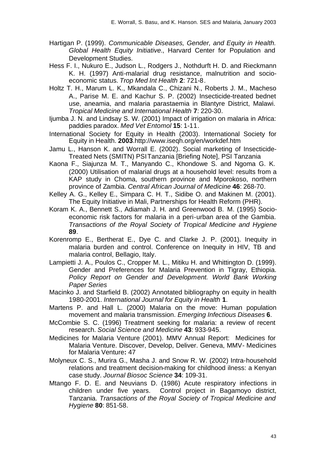- Hartigan P. (1999). *Communicable Diseases, Gender, and Equity in Health. Global Health Equity Initiative.*, Harvard Center for Population and Development Studies.
- Hess F. I., Nukuro E., Judson L., Rodgers J., Nothdurft H. D. and Rieckmann K. H. (1997) Anti-malarial drug resistance, malnutrition and socioeconomic status. *Trop Med Int Health* **2**: 721-8.
- Holtz T. H., Marum L. K., Mkandala C., Chizani N., Roberts J. M., Macheso A., Parise M. E. and Kachur S. P. (2002) Insecticide-treated bednet use, aneamia, and malaria parastaemia in Blantyre District, Malawi. *Tropical Medicine and International Health* **7**: 220-30.
- Ijumba J. N. and Lindsay S. W. (2001) Impact of irrigation on malaria in Africa: paddies paradox. *Med Vet Entomol* **15**: 1-11.
- International Society for Equity in Health (2003). International Society for Equity in Health. **2003**.http://www.iseqh.org/en/workdef.htm
- Jamu L., Hanson K. and Worrall E. (2002). Social marketing of Insecticide-Treated Nets (SMITN) PSI Tanzania [Briefing Note], PSI Tanzania
- Kaona F., Siajunza M. T., Manyando C., Khondowe S. and Ngoma G. K. (2000) Utilisation of malarial drugs at a household level: results from a KAP study in Choma, southern province and Mporokoso, northern province of Zambia. *Central African Journal of Medicine* **46**: 268-70.
- Kelley A. G., Kelley E., Simpara C. H. T., Sidibe O. and Makinen M. (2001). The Equity Initiative in Mali, Partnerships for Health Reform (PHR).
- Koram K. A., Bennett S., Adiamah J. H. and Greenwood B. M. (1995) Socioeconomic risk factors for malaria in a peri-urban area of the Gambia. *Transactions of the Royal Society of Tropical Medicine and Hygiene* **89**.
- Korenromp E., Bertherat E., Dye C. and Clarke J. P. (2001). Inequity in malaria burden and control. Conference on Inequity in HIV, TB and malaria control, Bellagio, Italy.
- Lampietti J. A., Poulos C., Cropper M. L., Mitiku H. and Whittington D. (1999). Gender and Preferences for Malaria Prevention in Tigray, Ethiopia. *Policy Report on Gender and Development. World Bank Working Paper Series*
- Macinko J. and Starfield B. (2002) Annotated bibliography on equity in health 1980-2001. *International Journal for Equity in Health* **1**.
- Martens P. and Hall L. (2000) Malaria on the move: Human population movement and malaria transmission. *Emerging Infectious Diseases* **6**.
- McCombie S. C. (1996) Treatment seeking for malaria: a review of recent research. *Social Science and Medicine* **43**: 933-945.
- Medicines for Malaria Venture (2001). MMV Annual Report: Medicines for Malaria Venture. Discover, Develop, Deliver. Geneva, MMV- Medicines for Malaria Venture**:** 47
- Molyneux C. S., Murira G., Masha J. and Snow R. W. (2002) Intra-household relations and treatment decision-making for childhood ilness: a Kenyan case study. *Journal Biosoc Science* **34**: 109-31.
- Mtango F. D. E. and Neuvians D. (1986) Acute respiratory infections in children under five years. Control project in Bagamoyo district, Tanzania. *Transactions of the Royal Society of Tropical Medicine and Hygiene* **80**: 851-58.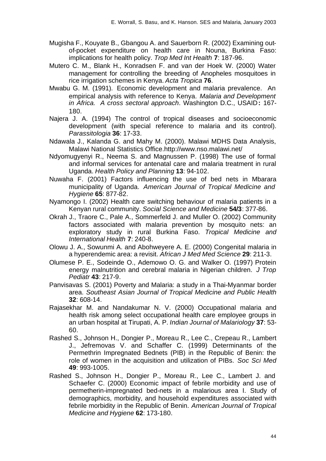- Mugisha F., Kouyate B., Gbangou A. and Sauerborn R. (2002) Examining outof-pocket expenditure on health care in Nouna, Burkina Faso: implications for health policy. *Trop Med Int Health* **7**: 187-96.
- Mutero C. M., Blank H., Konradsen F. and van der Hoek W. (2000) Water management for controlling the breeding of Anopheles mosquitoes in rice irrigation schemes in Kenya. *Acta Tropica* **76**.
- Mwabu G. M. (1991). Economic development and malaria prevalence. An empirical analysis with reference to Kenya. *Malaria and Development in Africa. A cross sectoral approach*. Washington D.C., USAID**:** 167- 180.
- Najera J. A. (1994) The control of tropical diseases and socioeconomic development (with special reference to malaria and its control). *Parassitologia* **36**: 17-33.
- Ndawala J., Kalanda G. and Mahy M. (2000). Malawi MDHS Data Analysis, Malawi National Statistics Office.http://www.nso.malawi.net/
- Ndyomugyenyi R., Neema S. and Magnussen P. (1998) The use of formal and informal services for antenatal care and malaria treatment in rural Uganda. *Health Policy and Planning* **13**: 94-102.
- Nuwaha F. (2001) Factors influencing the use of bed nets in Mbarara municipality of Uganda. *American Journal of Tropical Medicine and Hygiene* **65**: 877-82.
- Nyamongo I. (2002) Health care switching behaviour of malaria patients in a Kenyan rural community. *Social Science and Medicine* **54/3**: 377-86.
- Okrah J., Traore C., Pale A., Sommerfeld J. and Muller O. (2002) Community factors associated with malaria prevention by mosquito nets: an exploratory study in rural Burkina Faso. *Tropical Medicine and International Health* **7**: 240-8.
- Olowu J. A., Sowunmi A. and Abohweyere A. E. (2000) Congenital malaria in a hyperendemic area: a revisit. *African J Med Med Science* **29**: 211-3.
- Olumese P. E., Sodeinde O., Ademowo O. G. and Walker O. (1997) Protein energy malnutrition and cerebral malaria in Nigerian children. *J Trop Pediatr* **43**: 217-9.
- Panvisavas S. (2001) Poverty and Malaria: a study in a Thai-Myanmar border area. *Southeast Asian Journal of Tropical Medicine and Public Health* **32**: 608-14.
- Rajasekhar M. and Nandakumar N. V. (2000) Occupational malaria and health risk among select occupational health care employee groups in an urban hospital at Tirupati, A. P. *Indian Journal of Malariology* **37**: 53- 60.
- Rashed S., Johnson H., Dongier P., Moreau R., Lee C., Crepeau R., Lambert J., Jefremovas V. and Schaffer C. (1999) Determinants of the Permethrin Impregnated Bednets (PIB) in the Republic of Benin: the role of women in the acquisition and utilization of PIBs. *Soc Sci Med* **49**: 993-1005.
- Rashed S., Johnson H., Dongier P., Moreau R., Lee C., Lambert J. and Schaefer C. (2000) Economic impact of febrile morbidity and use of permetherin-impregnated bed-nets in a malarious area I. Study of demographics, morbidity, and household expenditures associated with febrile morbidity in the Republic of Benin. *American Journal of Tropical Medicine and Hygiene* **62**: 173-180.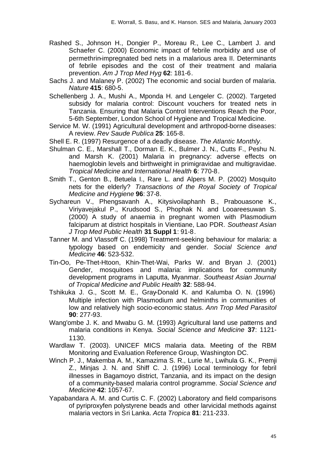- Rashed S., Johnson H., Dongier P., Moreau R., Lee C., Lambert J. and Schaefer C. (2000) Economic impact of febrile morbidity and use of permethrin-impregnated bed nets in a malarious area II. Determinants of febrile episodes and the cost of their treatment and malaria prevention. *Am J Trop Med Hyg* **62**: 181-6.
- Sachs J. and Malaney P. (2002) The economic and social burden of malaria. *Nature* **415**: 680-5.
- Schellenberg J. A., Mushi A., Mponda H. and Lengeler C. (2002). Targeted subsidy for malaria control: Discount vouchers for treated nets in Tanzania. Ensuring that Malaria Control Interventions Reach the Poor, 5-6th September, London School of Hygiene and Tropical Medicine.
- Service M. W. (1991) Agricultural development and arthropod-borne diseases: A review. *Rev Saude Publica* **25**: 165-8.
- Shell E. R. (1997) Resurgence of a deadly disease. *The Atlantic Monthly*.
- Shulman C. E., Marshall T., Dorman E. K., Bulmer J. N., Cutts F., Peshu N. and Marsh K. (2001) Malaria in pregnancy: adverse effects on haemoglobin levels and birthweight in primigravidae and multigravidae. *Tropical Medicine and International Health* **6**: 770-8.
- Smith T., Genton B., Betuela I., Rare L. and Alpers M. P. (2002) Mosquito nets for the elderly? *Transactions of the Royal Society of Tropical Medicine and Hygiene* **96**: 37-8.
- Sychareun V., Phengsavanh A., Kitysivoilaphanh B., Prabouasone K., Viriyavejakul P., Krudsood S., Phophak N. and Looareesuwan S. (2000) A study of anaemia in pregnant women with Plasmodium falciparum at district hospitals in Vientiane, Lao PDR. *Southeast Asian J Trop Med Public Health* **31 Suppl 1**: 91-8.
- Tanner M. and Vlassoff C. (1998) Treatment-seeking behaviour for malaria: a typology based on endemicity and gender. *Social Science and Medicine* **46**: 523-532.
- Tin-Oo, Pe-Thet-Htoon, Khin-Thet-Wai, Parks W. and Bryan J. (2001) Gender, mosquitoes and malaria: implications for community development programs in Laputta, Myanmar. *Southeast Asian Journal of Tropical Medicine and Public Health* **32**: 588-94.
- Tshikuka J. G., Scott M. E., Gray-Donald K. and Kalumba O. N. (1996) Multiple infection with Plasmodium and helminths in communities of low and relatively high socio-economic status. *Ann Trop Med Parasitol* **90**: 277-93.
- Wang'ombe J. K. and Mwabu G. M. (1993) Agricultural land use patterns and malaria conditions in Kenya. *Social Science and Medicine* **37**: 1121- 1130.
- Wardlaw T. (2003). UNICEF MICS malaria data. Meeting of the RBM Monitoring and Evaluation Reference Group, Washington DC.
- Winch P. J., Makemba A. M., Kamazima S. R., Lurie M., Lwihula G. K., Premji Z., Minjas J. N. and Shiff C. J. (1996) Local terminology for febril illnesses in Bagamoyo district, Tanzania, and its impact on the design of a community-based malaria control programme. *Social Science and Medicine* **42**: 1057-67.
- Yapabandara A. M. and Curtis C. F. (2002) Laboratory and field comparisons of pyriproxyfen polystyrene beads and other larvicidal methods against malaria vectors in Sri Lanka. *Acta Tropica* **81**: 211-233.